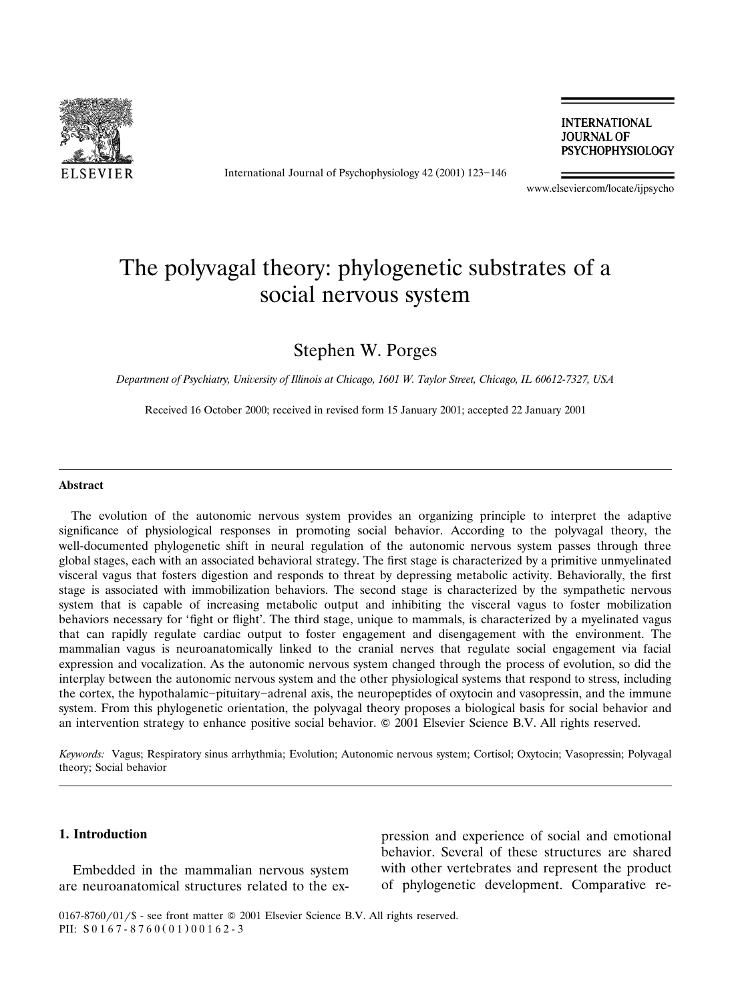

International Journal of Psychophysiology 42 (2001) 123-146

**INTERNATIONAL JOURNAL OF PSYCHOPHYSIOLOGY** 

www.elsevier.com/locate/ijpsycho

# The polyvagal theory: phylogenetic substrates of a social nervous system

## Stephen W. Porges

*Department of Psychiatry, Uniersity of Illinois at Chicago, 1601 W. Taylor Street, Chicago, IL 60612-7327, USA*

Received 16 October 2000; received in revised form 15 January 2001; accepted 22 January 2001

#### **Abstract**

The evolution of the autonomic nervous system provides an organizing principle to interpret the adaptive significance of physiological responses in promoting social behavior. According to the polyvagal theory, the well-documented phylogenetic shift in neural regulation of the autonomic nervous system passes through three global stages, each with an associated behavioral strategy. The first stage is characterized by a primitive unmyelinated visceral vagus that fosters digestion and responds to threat by depressing metabolic activity. Behaviorally, the first stage is associated with immobilization behaviors. The second stage is characterized by the sympathetic nervous system that is capable of increasing metabolic output and inhibiting the visceral vagus to foster mobilization behaviors necessary for 'fight or flight'. The third stage, unique to mammals, is characterized by a myelinated vagus that can rapidly regulate cardiac output to foster engagement and disengagement with the environment. The mammalian vagus is neuroanatomically linked to the cranial nerves that regulate social engagement via facial expression and vocalization. As the autonomic nervous system changed through the process of evolution, so did the interplay between the autonomic nervous system and the other physiological systems that respond to stress, including the cortex, the hypothalamic-pituitary-adrenal axis, the neuropeptides of oxytocin and vasopressin, and the immune system. From this phylogenetic orientation, the polyvagal theory proposes a biological basis for social behavior and an intervention strategy to enhance positive social behavior.  $\circ$  2001 Elsevier Science B.V. All rights reserved.

*Keywords:* Vagus; Respiratory sinus arrhythmia; Evolution; Autonomic nervous system; Cortisol; Oxytocin; Vasopressin; Polyvagal theory; Social behavior

## **1. Introduction**

Embedded in the mammalian nervous system are neuroanatomical structures related to the expression and experience of social and emotional behavior. Several of these structures are shared with other vertebrates and represent the product of phylogenetic development. Comparative re-

 $0167-8760/01/\$  - see front matter  $\odot$  2001 Elsevier Science B.V. All rights reserved. PII:  $S 0 1 6 7 - 8 7 6 0 (0 1) 0 0 1 6 2 - 3$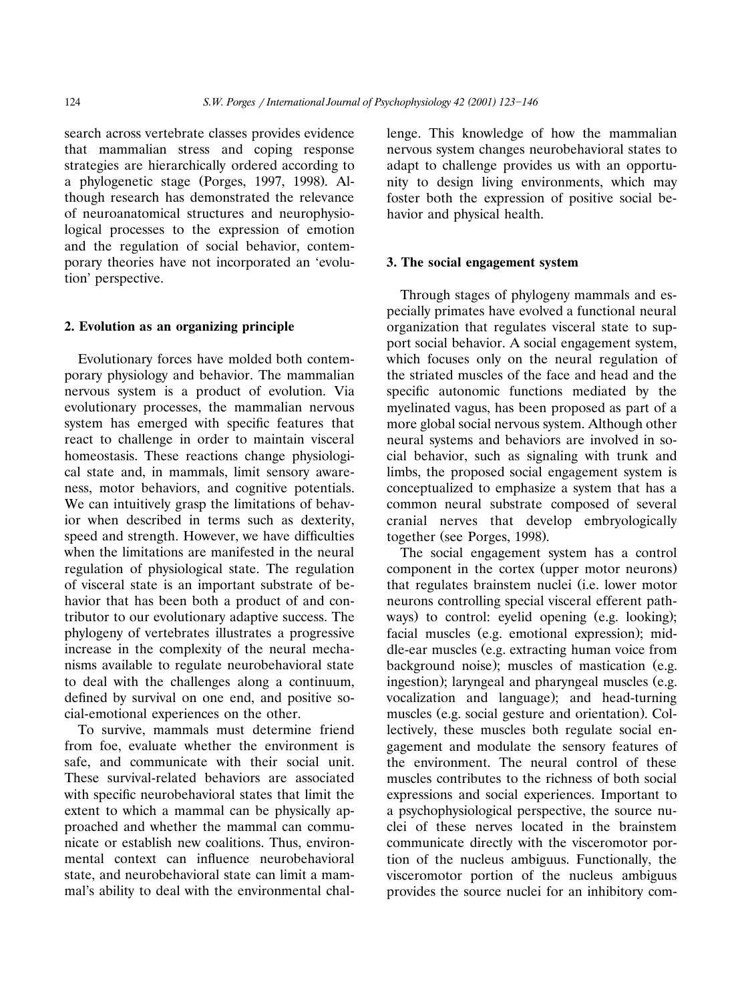search across vertebrate classes provides evidence that mammalian stress and coping response strategies are hierarchically ordered according to a phylogenetic stage (Porges, 1997, 1998). Although research has demonstrated the relevance of neuroanatomical structures and neurophysiological processes to the expression of emotion and the regulation of social behavior, contemporary theories have not incorporated an 'evolution' perspective.

#### **2. Evolution as an organizing principle**

Evolutionary forces have molded both contemporary physiology and behavior. The mammalian nervous system is a product of evolution. Via evolutionary processes, the mammalian nervous system has emerged with specific features that react to challenge in order to maintain visceral homeostasis. These reactions change physiological state and, in mammals, limit sensory awareness, motor behaviors, and cognitive potentials. We can intuitively grasp the limitations of behavior when described in terms such as dexterity, speed and strength. However, we have difficulties when the limitations are manifested in the neural regulation of physiological state. The regulation of visceral state is an important substrate of behavior that has been both a product of and contributor to our evolutionary adaptive success. The phylogeny of vertebrates illustrates a progressive increase in the complexity of the neural mechanisms available to regulate neurobehavioral state to deal with the challenges along a continuum, defined by survival on one end, and positive social-emotional experiences on the other.

To survive, mammals must determine friend from foe, evaluate whether the environment is safe, and communicate with their social unit. These survival-related behaviors are associated with specific neurobehavioral states that limit the extent to which a mammal can be physically approached and whether the mammal can communicate or establish new coalitions. Thus, environmental context can influence neurobehavioral state, and neurobehavioral state can limit a mammal's ability to deal with the environmental challenge. This knowledge of how the mammalian nervous system changes neurobehavioral states to adapt to challenge provides us with an opportunity to design living environments, which may foster both the expression of positive social behavior and physical health.

#### **3. The social engagement system**

Through stages of phylogeny mammals and especially primates have evolved a functional neural organization that regulates visceral state to support social behavior. A social engagement system, which focuses only on the neural regulation of the striated muscles of the face and head and the specific autonomic functions mediated by the myelinated vagus, has been proposed as part of a more global social nervous system. Although other neural systems and behaviors are involved in social behavior, such as signaling with trunk and limbs, the proposed social engagement system is conceptualized to emphasize a system that has a common neural substrate composed of several cranial nerves that develop embryologically together (see Porges, 1998).

The social engagement system has a control component in the cortex (upper motor neurons) that regulates brainstem nuclei (*i.e.* lower motor neurons controlling special visceral efferent pathways) to control: eyelid opening (e.g. looking); facial muscles (e.g. emotional expression); middle-ear muscles (e.g. extracting human voice from background noise); muscles of mastication (e.g. ingestion); laryngeal and pharyngeal muscles (e.g. vocalization and language); and head-turning muscles (e.g. social gesture and orientation). Collectively, these muscles both regulate social engagement and modulate the sensory features of the environment. The neural control of these muscles contributes to the richness of both social expressions and social experiences. Important to a psychophysiological perspective, the source nuclei of these nerves located in the brainstem communicate directly with the visceromotor portion of the nucleus ambiguus. Functionally, the visceromotor portion of the nucleus ambiguus provides the source nuclei for an inhibitory com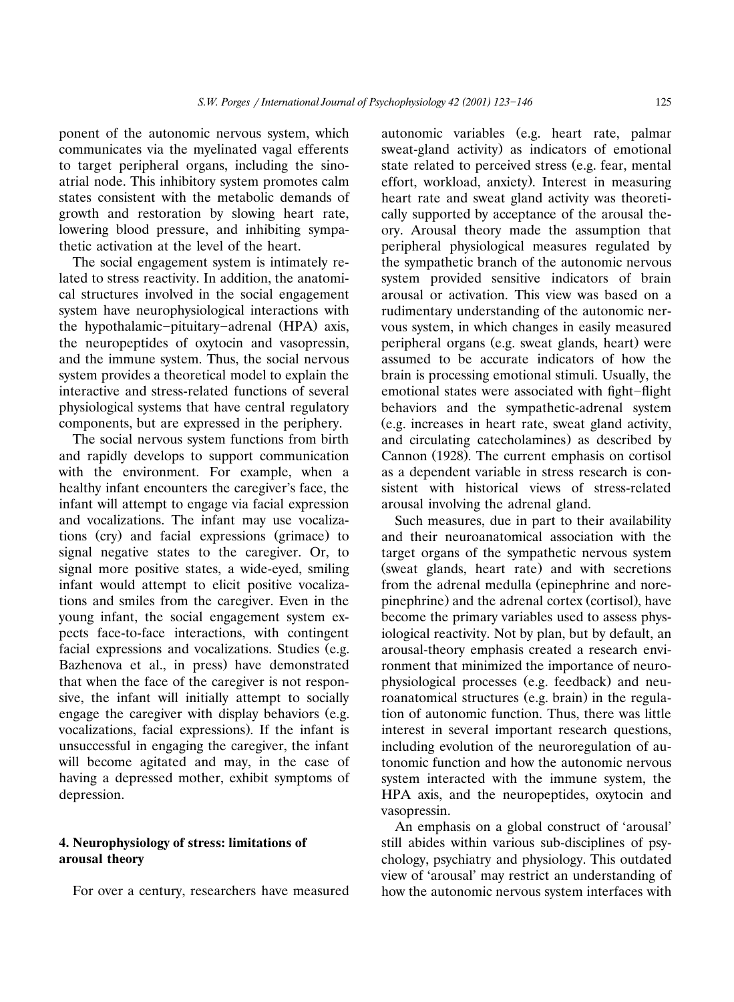ponent of the autonomic nervous system, which communicates via the myelinated vagal efferents to target peripheral organs, including the sinoatrial node. This inhibitory system promotes calm states consistent with the metabolic demands of growth and restoration by slowing heart rate, lowering blood pressure, and inhibiting sympathetic activation at the level of the heart.

The social engagement system is intimately related to stress reactivity. In addition, the anatomical structures involved in the social engagement system have neurophysiological interactions with the hypothalamic-pituitary-adrenal (HPA) axis, the neuropeptides of oxytocin and vasopressin, and the immune system. Thus, the social nervous system provides a theoretical model to explain the interactive and stress-related functions of several physiological systems that have central regulatory components, but are expressed in the periphery.

The social nervous system functions from birth and rapidly develops to support communication with the environment. For example, when a healthy infant encounters the caregiver's face, the infant will attempt to engage via facial expression and vocalizations. The infant may use vocalizations (cry) and facial expressions (grimace) to signal negative states to the caregiver. Or, to signal more positive states, a wide-eyed, smiling infant would attempt to elicit positive vocalizations and smiles from the caregiver. Even in the young infant, the social engagement system expects face-to-face interactions, with contingent facial expressions and vocalizations. Studies (e.g. Bazhenova et al., in press) have demonstrated that when the face of the caregiver is not responsive, the infant will initially attempt to socially engage the caregiver with display behaviors (e.g. vocalizations, facial expressions). If the infant is unsuccessful in engaging the caregiver, the infant will become agitated and may, in the case of having a depressed mother, exhibit symptoms of depression.

## **4. Neurophysiology of stress: limitations of arousal theory**

For over a century, researchers have measured

autonomic variables (e.g. heart rate, palmar sweat-gland activity) as indicators of emotional state related to perceived stress (e.g. fear, mental effort, workload, anxiety). Interest in measuring heart rate and sweat gland activity was theoretically supported by acceptance of the arousal theory. Arousal theory made the assumption that peripheral physiological measures regulated by the sympathetic branch of the autonomic nervous system provided sensitive indicators of brain arousal or activation. This view was based on a rudimentary understanding of the autonomic nervous system, in which changes in easily measured peripheral organs (e.g. sweat glands, heart) were assumed to be accurate indicators of how the brain is processing emotional stimuli. Usually, the emotional states were associated with fight-flight behaviors and the sympathetic-adrenal system Že.g. increases in heart rate, sweat gland activity, and circulating catecholamines) as described by Cannon (1928). The current emphasis on cortisol as a dependent variable in stress research is consistent with historical views of stress-related arousal involving the adrenal gland.

Such measures, due in part to their availability and their neuroanatomical association with the target organs of the sympathetic nervous system (sweat glands, heart rate) and with secretions from the adrenal medulla (epinephrine and norepinephrine) and the adrenal cortex (cortisol), have become the primary variables used to assess physiological reactivity. Not by plan, but by default, an arousal-theory emphasis created a research environment that minimized the importance of neurophysiological processes (e.g. feedback) and neuroanatomical structures (e.g. brain) in the regulation of autonomic function. Thus, there was little interest in several important research questions, including evolution of the neuroregulation of autonomic function and how the autonomic nervous system interacted with the immune system, the HPA axis, and the neuropeptides, oxytocin and vasopressin.

An emphasis on a global construct of 'arousal' still abides within various sub-disciplines of psychology, psychiatry and physiology. This outdated view of 'arousal' may restrict an understanding of how the autonomic nervous system interfaces with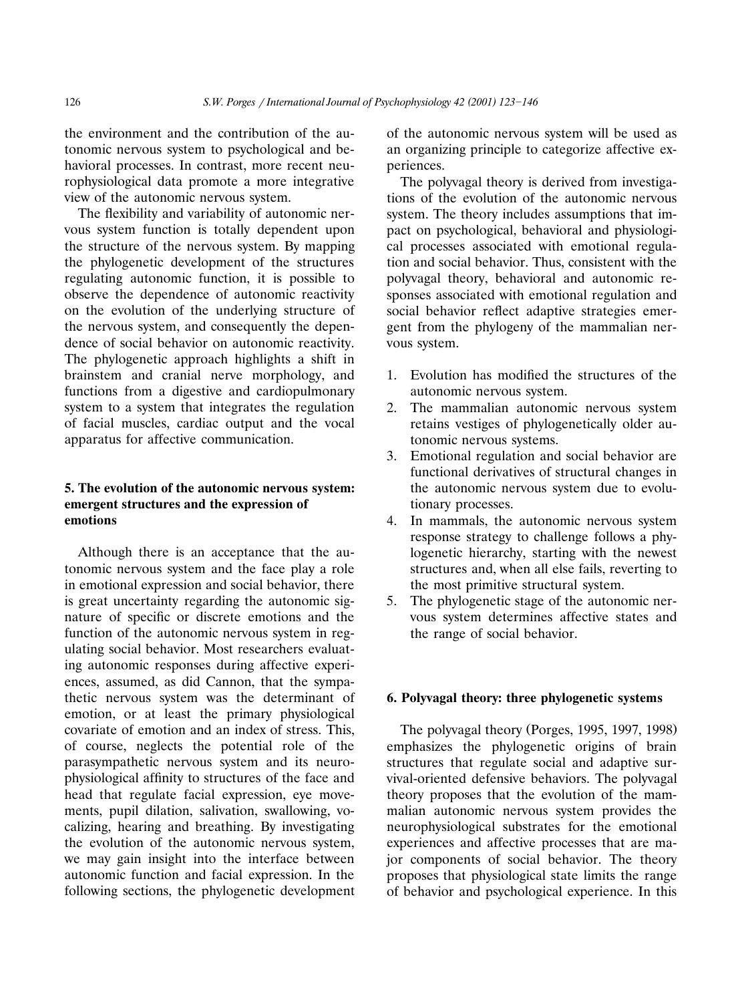the environment and the contribution of the autonomic nervous system to psychological and behavioral processes. In contrast, more recent neurophysiological data promote a more integrative view of the autonomic nervous system.

The flexibility and variability of autonomic nervous system function is totally dependent upon the structure of the nervous system. By mapping the phylogenetic development of the structures regulating autonomic function, it is possible to observe the dependence of autonomic reactivity on the evolution of the underlying structure of the nervous system, and consequently the dependence of social behavior on autonomic reactivity. The phylogenetic approach highlights a shift in brainstem and cranial nerve morphology, and functions from a digestive and cardiopulmonary system to a system that integrates the regulation of facial muscles, cardiac output and the vocal apparatus for affective communication.

## **5. The evolution of the autonomic nervous system: emergent structures and the expression of emotions**

Although there is an acceptance that the autonomic nervous system and the face play a role in emotional expression and social behavior, there is great uncertainty regarding the autonomic signature of specific or discrete emotions and the function of the autonomic nervous system in regulating social behavior. Most researchers evaluating autonomic responses during affective experiences, assumed, as did Cannon, that the sympathetic nervous system was the determinant of emotion, or at least the primary physiological covariate of emotion and an index of stress. This, of course, neglects the potential role of the parasympathetic nervous system and its neurophysiological affinity to structures of the face and head that regulate facial expression, eye movements, pupil dilation, salivation, swallowing, vocalizing, hearing and breathing. By investigating the evolution of the autonomic nervous system, we may gain insight into the interface between autonomic function and facial expression. In the following sections, the phylogenetic development of the autonomic nervous system will be used as an organizing principle to categorize affective experiences.

The polyvagal theory is derived from investigations of the evolution of the autonomic nervous system. The theory includes assumptions that impact on psychological, behavioral and physiological processes associated with emotional regulation and social behavior. Thus, consistent with the polyvagal theory, behavioral and autonomic responses associated with emotional regulation and social behavior reflect adaptive strategies emergent from the phylogeny of the mammalian nervous system.

- 1. Evolution has modified the structures of the autonomic nervous system.
- 2. The mammalian autonomic nervous system retains vestiges of phylogenetically older autonomic nervous systems.
- 3. Emotional regulation and social behavior are functional derivatives of structural changes in the autonomic nervous system due to evolutionary processes.
- 4. In mammals, the autonomic nervous system response strategy to challenge follows a phylogenetic hierarchy, starting with the newest structures and, when all else fails, reverting to the most primitive structural system.
- 5. The phylogenetic stage of the autonomic nervous system determines affective states and the range of social behavior.

#### **6. Polyvagal theory: three phylogenetic systems**

The polyvagal theory (Porges, 1995, 1997, 1998) emphasizes the phylogenetic origins of brain structures that regulate social and adaptive survival-oriented defensive behaviors. The polyvagal theory proposes that the evolution of the mammalian autonomic nervous system provides the neurophysiological substrates for the emotional experiences and affective processes that are major components of social behavior. The theory proposes that physiological state limits the range of behavior and psychological experience. In this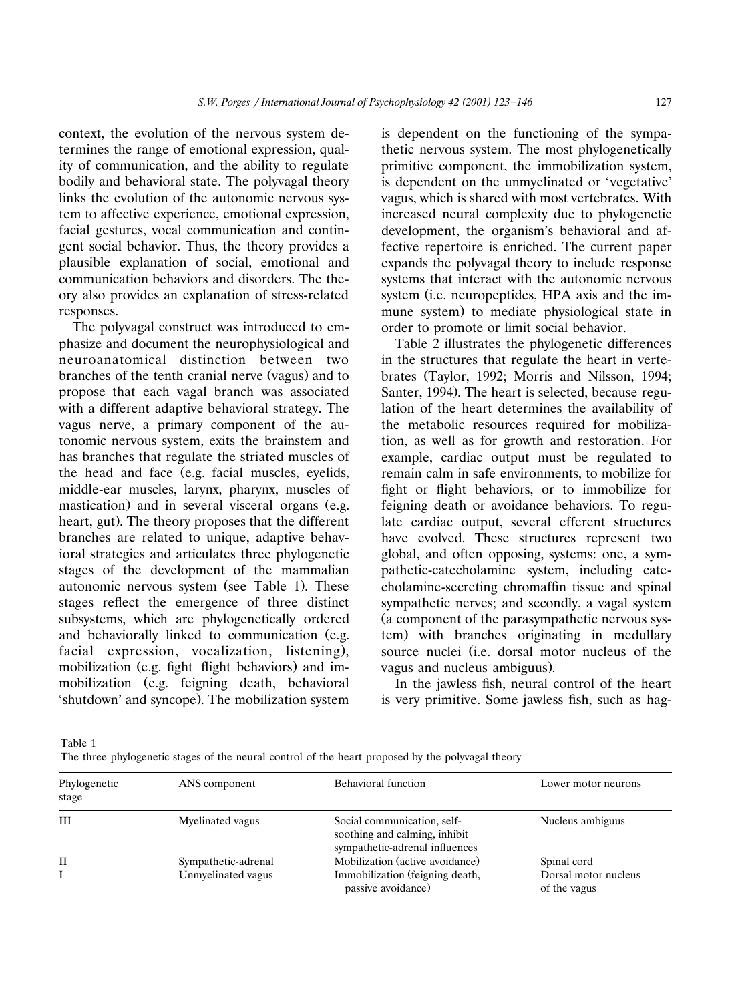context, the evolution of the nervous system determines the range of emotional expression, quality of communication, and the ability to regulate bodily and behavioral state. The polyvagal theory links the evolution of the autonomic nervous system to affective experience, emotional expression, facial gestures, vocal communication and contingent social behavior. Thus, the theory provides a plausible explanation of social, emotional and communication behaviors and disorders. The theory also provides an explanation of stress-related responses.

The polyvagal construct was introduced to emphasize and document the neurophysiological and neuroanatomical distinction between two branches of the tenth cranial nerve (vagus) and to propose that each vagal branch was associated with a different adaptive behavioral strategy. The vagus nerve, a primary component of the autonomic nervous system, exits the brainstem and has branches that regulate the striated muscles of the head and face  $(e.g.$  facial muscles, eyelids, middle-ear muscles, larynx, pharynx, muscles of mastication) and in several visceral organs (e.g. heart, gut). The theory proposes that the different branches are related to unique, adaptive behavioral strategies and articulates three phylogenetic stages of the development of the mammalian autonomic nervous system (see Table 1). These stages reflect the emergence of three distinct subsystems, which are phylogenetically ordered and behaviorally linked to communication (e.g. facial expression, vocalization, listening), mobilization (e.g. fight-flight behaviors) and immobilization (e.g. feigning death, behavioral 'shutdown' and syncope). The mobilization system is dependent on the functioning of the sympathetic nervous system. The most phylogenetically primitive component, the immobilization system, is dependent on the unmyelinated or 'vegetative' vagus, which is shared with most vertebrates. With increased neural complexity due to phylogenetic development, the organism's behavioral and affective repertoire is enriched. The current paper expands the polyvagal theory to include response systems that interact with the autonomic nervous system (i.e. neuropeptides, HPA axis and the immune system) to mediate physiological state in order to promote or limit social behavior.

Table 2 illustrates the phylogenetic differences in the structures that regulate the heart in vertebrates (Taylor, 1992; Morris and Nilsson, 1994; Santer, 1994). The heart is selected, because regulation of the heart determines the availability of the metabolic resources required for mobilization, as well as for growth and restoration. For example, cardiac output must be regulated to remain calm in safe environments, to mobilize for fight or flight behaviors, or to immobilize for feigning death or avoidance behaviors. To regulate cardiac output, several efferent structures have evolved. These structures represent two global, and often opposing, systems: one, a sympathetic-catecholamine system, including catecholamine-secreting chromaffin tissue and spinal sympathetic nerves; and secondly, a vagal system (a component of the parasympathetic nervous system) with branches originating in medullary source nuclei (*i.e.* dorsal motor nucleus of the vagus and nucleus ambiguus).

In the jawless fish, neural control of the heart is very primitive. Some jawless fish, such as hag-

Table 1 The three phylogenetic stages of the neural control of the heart proposed by the polyvagal theory

| Phylogenetic<br>stage | ANS component       | Behavioral function                                                                            | Lower motor neurons                  |  |
|-----------------------|---------------------|------------------------------------------------------------------------------------------------|--------------------------------------|--|
| Ш                     | Myelinated vagus    | Social communication, self-<br>soothing and calming, inhibit<br>sympathetic-adrenal influences | Nucleus ambiguus                     |  |
| Н                     | Sympathetic-adrenal | Mobilization (active avoidance)                                                                | Spinal cord                          |  |
| Unmyelinated vagus    |                     | Immobilization (feigning death,<br>passive avoidance)                                          | Dorsal motor nucleus<br>of the vagus |  |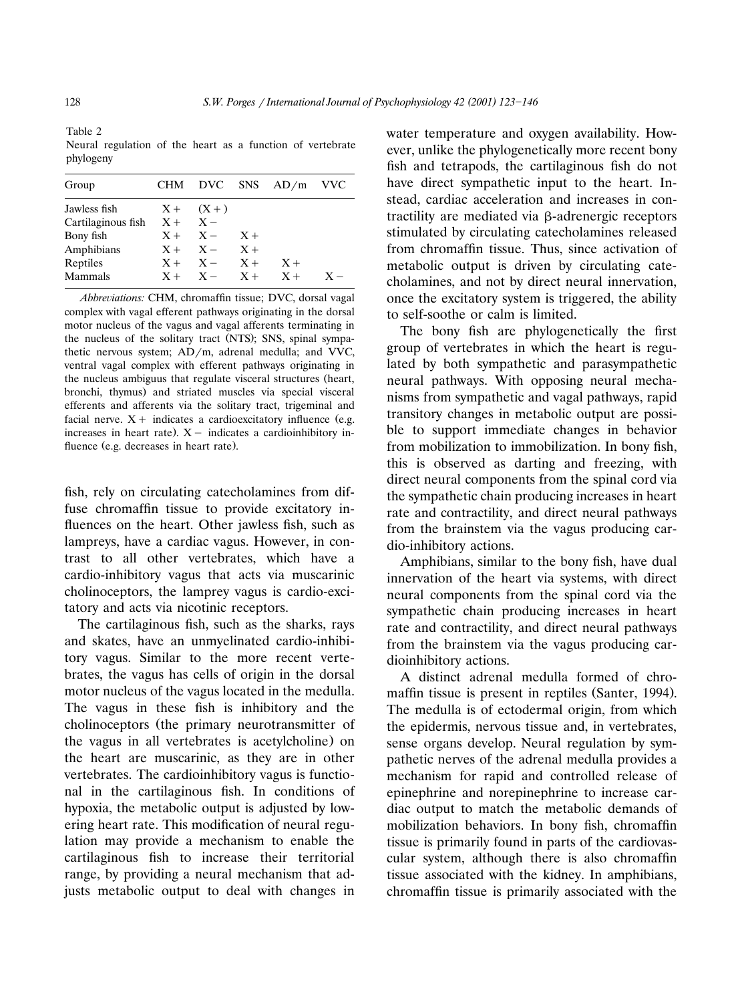Table 2

Neural regulation of the heart as a function of vertebrate phylogeny

| Group              |           |                   |       | CHM DVC SNS $AD/m$ VVC |  |
|--------------------|-----------|-------------------|-------|------------------------|--|
| Jawless fish       |           | $X + (X+)$        |       |                        |  |
| Cartilaginous fish | $X + X -$ |                   |       |                        |  |
| Bony fish          | $X + X -$ |                   | $X +$ |                        |  |
| Amphibians         | $X + X -$ |                   | $X +$ |                        |  |
| Reptiles           | $X + X -$ |                   | $X +$ | $X +$                  |  |
| Mammals            |           | $X + X - X + X +$ |       |                        |  |

*Abbreiations:* CHM, chromaffin tissue; DVC, dorsal vagal complex with vagal efferent pathways originating in the dorsal motor nucleus of the vagus and vagal afferents terminating in the nucleus of the solitary tract (NTS); SNS, spinal sympathetic nervous system;  $AD/m$ , adrenal medulla; and VVC, ventral vagal complex with efferent pathways originating in the nucleus ambiguus that regulate visceral structures (heart, bronchi, thymus) and striated muscles via special visceral efferents and afferents via the solitary tract, trigeminal and facial nerve.  $X +$  indicates a cardioexcitatory influence (e.g. increases in heart rate).  $X -$  indicates a cardioinhibitory influence (e.g. decreases in heart rate).

fish, rely on circulating catecholamines from diffuse chromaffin tissue to provide excitatory influences on the heart. Other jawless fish, such as lampreys, have a cardiac vagus. However, in contrast to all other vertebrates, which have a cardio-inhibitory vagus that acts via muscarinic cholinoceptors, the lamprey vagus is cardio-excitatory and acts via nicotinic receptors.

The cartilaginous fish, such as the sharks, rays and skates, have an unmyelinated cardio-inhibitory vagus. Similar to the more recent vertebrates, the vagus has cells of origin in the dorsal motor nucleus of the vagus located in the medulla. The vagus in these fish is inhibitory and the cholinoceptors (the primary neurotransmitter of the vagus in all vertebrates is acetylcholine) on the heart are muscarinic, as they are in other vertebrates. The cardioinhibitory vagus is functional in the cartilaginous fish. In conditions of hypoxia, the metabolic output is adjusted by lowering heart rate. This modification of neural regulation may provide a mechanism to enable the cartilaginous fish to increase their territorial range, by providing a neural mechanism that adjusts metabolic output to deal with changes in

water temperature and oxygen availability. However, unlike the phylogenetically more recent bony fish and tetrapods, the cartilaginous fish do not have direct sympathetic input to the heart. Instead, cardiac acceleration and increases in contractility are mediated via β-adrenergic receptors stimulated by circulating catecholamines released from chromaffin tissue. Thus, since activation of metabolic output is driven by circulating catecholamines, and not by direct neural innervation, once the excitatory system is triggered, the ability to self-soothe or calm is limited.

The bony fish are phylogenetically the first group of vertebrates in which the heart is regulated by both sympathetic and parasympathetic neural pathways. With opposing neural mechanisms from sympathetic and vagal pathways, rapid transitory changes in metabolic output are possible to support immediate changes in behavior from mobilization to immobilization. In bony fish, this is observed as darting and freezing, with direct neural components from the spinal cord via the sympathetic chain producing increases in heart rate and contractility, and direct neural pathways from the brainstem via the vagus producing cardio-inhibitory actions.

Amphibians, similar to the bony fish, have dual innervation of the heart via systems, with direct neural components from the spinal cord via the sympathetic chain producing increases in heart rate and contractility, and direct neural pathways from the brainstem via the vagus producing cardioinhibitory actions.

A distinct adrenal medulla formed of chromaffin tissue is present in reptiles (Santer, 1994). The medulla is of ectodermal origin, from which the epidermis, nervous tissue and, in vertebrates, sense organs develop. Neural regulation by sympathetic nerves of the adrenal medulla provides a mechanism for rapid and controlled release of epinephrine and norepinephrine to increase cardiac output to match the metabolic demands of mobilization behaviors. In bony fish, chromaffin tissue is primarily found in parts of the cardiovascular system, although there is also chromaffin tissue associated with the kidney. In amphibians, chromaffin tissue is primarily associated with the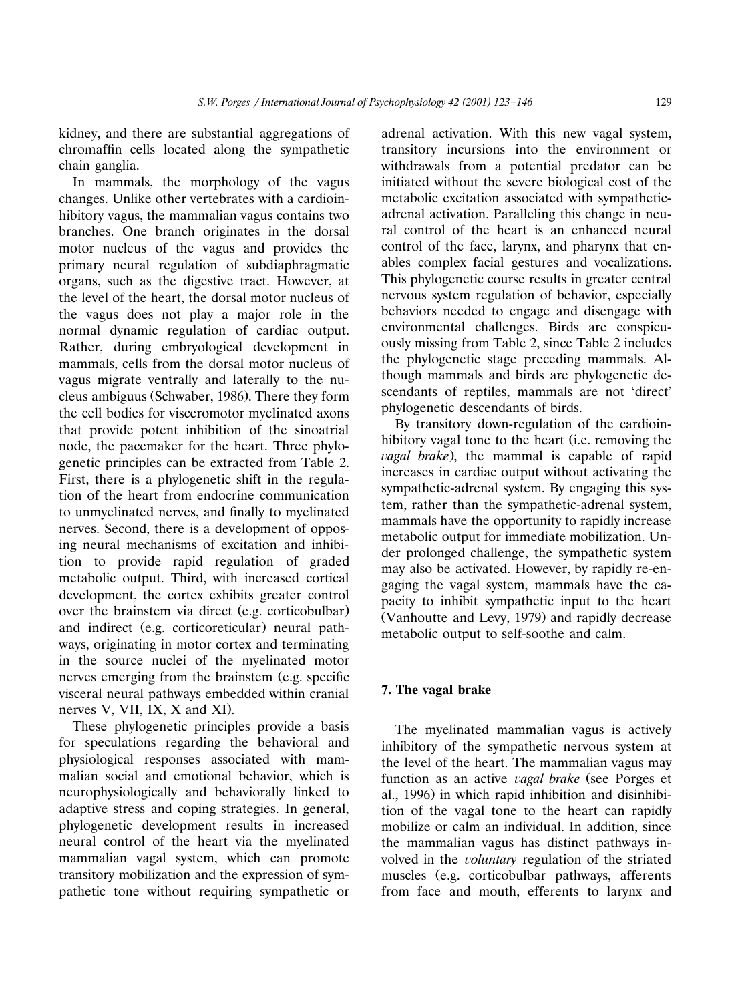kidney, and there are substantial aggregations of chromaffin cells located along the sympathetic chain ganglia.

In mammals, the morphology of the vagus changes. Unlike other vertebrates with a cardioinhibitory vagus, the mammalian vagus contains two branches. One branch originates in the dorsal motor nucleus of the vagus and provides the primary neural regulation of subdiaphragmatic organs, such as the digestive tract. However, at the level of the heart, the dorsal motor nucleus of the vagus does not play a major role in the normal dynamic regulation of cardiac output. Rather, during embryological development in mammals, cells from the dorsal motor nucleus of vagus migrate ventrally and laterally to the nucleus ambiguus (Schwaber, 1986). There they form the cell bodies for visceromotor myelinated axons that provide potent inhibition of the sinoatrial node, the pacemaker for the heart. Three phylogenetic principles can be extracted from Table 2. First, there is a phylogenetic shift in the regulation of the heart from endocrine communication to unmyelinated nerves, and finally to myelinated nerves. Second, there is a development of opposing neural mechanisms of excitation and inhibition to provide rapid regulation of graded metabolic output. Third, with increased cortical development, the cortex exhibits greater control over the brainstem via direct (e.g. corticobulbar) and indirect (e.g. corticoreticular) neural pathways, originating in motor cortex and terminating in the source nuclei of the myelinated motor nerves emerging from the brainstem (e.g. specific visceral neural pathways embedded within cranial nerves V, VII, IX, X and XI).

These phylogenetic principles provide a basis for speculations regarding the behavioral and physiological responses associated with mammalian social and emotional behavior, which is neurophysiologically and behaviorally linked to adaptive stress and coping strategies. In general, phylogenetic development results in increased neural control of the heart via the myelinated mammalian vagal system, which can promote transitory mobilization and the expression of sympathetic tone without requiring sympathetic or adrenal activation. With this new vagal system, transitory incursions into the environment or withdrawals from a potential predator can be initiated without the severe biological cost of the metabolic excitation associated with sympatheticadrenal activation. Paralleling this change in neural control of the heart is an enhanced neural control of the face, larynx, and pharynx that enables complex facial gestures and vocalizations. This phylogenetic course results in greater central nervous system regulation of behavior, especially behaviors needed to engage and disengage with environmental challenges. Birds are conspicuously missing from Table 2, since Table 2 includes the phylogenetic stage preceding mammals. Although mammals and birds are phylogenetic descendants of reptiles, mammals are not 'direct' phylogenetic descendants of birds.

By transitory down-regulation of the cardioinhibitory vagal tone to the heart (*i.e.* removing the *vagal brake*), the mammal is capable of rapid increases in cardiac output without activating the sympathetic-adrenal system. By engaging this system, rather than the sympathetic-adrenal system, mammals have the opportunity to rapidly increase metabolic output for immediate mobilization. Under prolonged challenge, the sympathetic system may also be activated. However, by rapidly re-engaging the vagal system, mammals have the capacity to inhibit sympathetic input to the heart (Vanhoutte and Levy, 1979) and rapidly decrease metabolic output to self-soothe and calm.

#### **7. The vagal brake**

The myelinated mammalian vagus is actively inhibitory of the sympathetic nervous system at the level of the heart. The mammalian vagus may function as an active *vagal brake* (see Porges et al., 1996) in which rapid inhibition and disinhibition of the vagal tone to the heart can rapidly mobilize or calm an individual. In addition, since the mammalian vagus has distinct pathways involved in the *oluntary* regulation of the striated muscles (e.g. corticobulbar pathways, afferents from face and mouth, efferents to larynx and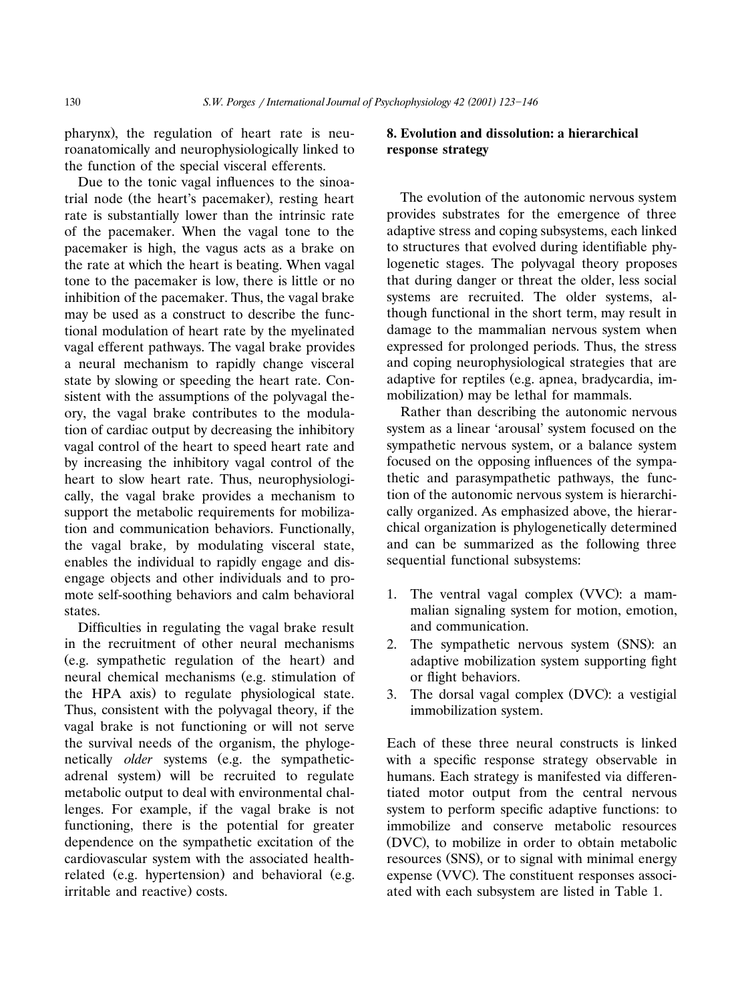pharynx), the regulation of heart rate is neuroanatomically and neurophysiologically linked to the function of the special visceral efferents.

Due to the tonic vagal influences to the sinoatrial node (the heart's pacemaker), resting heart rate is substantially lower than the intrinsic rate of the pacemaker. When the vagal tone to the pacemaker is high, the vagus acts as a brake on the rate at which the heart is beating. When vagal tone to the pacemaker is low, there is little or no inhibition of the pacemaker. Thus, the vagal brake may be used as a construct to describe the functional modulation of heart rate by the myelinated vagal efferent pathways. The vagal brake provides a neural mechanism to rapidly change visceral state by slowing or speeding the heart rate. Consistent with the assumptions of the polyvagal theory, the vagal brake contributes to the modulation of cardiac output by decreasing the inhibitory vagal control of the heart to speed heart rate and by increasing the inhibitory vagal control of the heart to slow heart rate. Thus, neurophysiologically, the vagal brake provides a mechanism to support the metabolic requirements for mobilization and communication behaviors. Functionally, the vagal brake*,* by modulating visceral state, enables the individual to rapidly engage and disengage objects and other individuals and to promote self-soothing behaviors and calm behavioral states.

Difficulties in regulating the vagal brake result in the recruitment of other neural mechanisms (e.g. sympathetic regulation of the heart) and neural chemical mechanisms (e.g. stimulation of the HPA axis) to regulate physiological state. Thus, consistent with the polyvagal theory, if the vagal brake is not functioning or will not serve the survival needs of the organism, the phylogenetically *older* systems (e.g. the sympatheticadrenal system) will be recruited to regulate metabolic output to deal with environmental challenges. For example, if the vagal brake is not functioning, there is the potential for greater dependence on the sympathetic excitation of the cardiovascular system with the associated healthrelated (e.g. hypertension) and behavioral (e.g. irritable and reactive) costs.

## **8. Evolution and dissolution: a hierarchical response strategy**

The evolution of the autonomic nervous system provides substrates for the emergence of three adaptive stress and coping subsystems, each linked to structures that evolved during identifiable phylogenetic stages. The polyvagal theory proposes that during danger or threat the older, less social systems are recruited. The older systems, although functional in the short term, may result in damage to the mammalian nervous system when expressed for prolonged periods. Thus, the stress and coping neurophysiological strategies that are adaptive for reptiles (e.g. apnea, bradycardia, immobilization) may be lethal for mammals.

Rather than describing the autonomic nervous system as a linear 'arousal' system focused on the sympathetic nervous system, or a balance system focused on the opposing influences of the sympathetic and parasympathetic pathways, the function of the autonomic nervous system is hierarchically organized. As emphasized above, the hierarchical organization is phylogenetically determined and can be summarized as the following three sequential functional subsystems:

- 1. The ventral vagal complex (VVC): a mammalian signaling system for motion, emotion, and communication.
- 2. The sympathetic nervous system (SNS): an adaptive mobilization system supporting fight or flight behaviors.
- 3. The dorsal vagal complex (DVC): a vestigial immobilization system.

Each of these three neural constructs is linked with a specific response strategy observable in humans. Each strategy is manifested via differentiated motor output from the central nervous system to perform specific adaptive functions: to immobilize and conserve metabolic resources (DVC), to mobilize in order to obtain metabolic resources (SNS), or to signal with minimal energy expense (VVC). The constituent responses associated with each subsystem are listed in Table 1.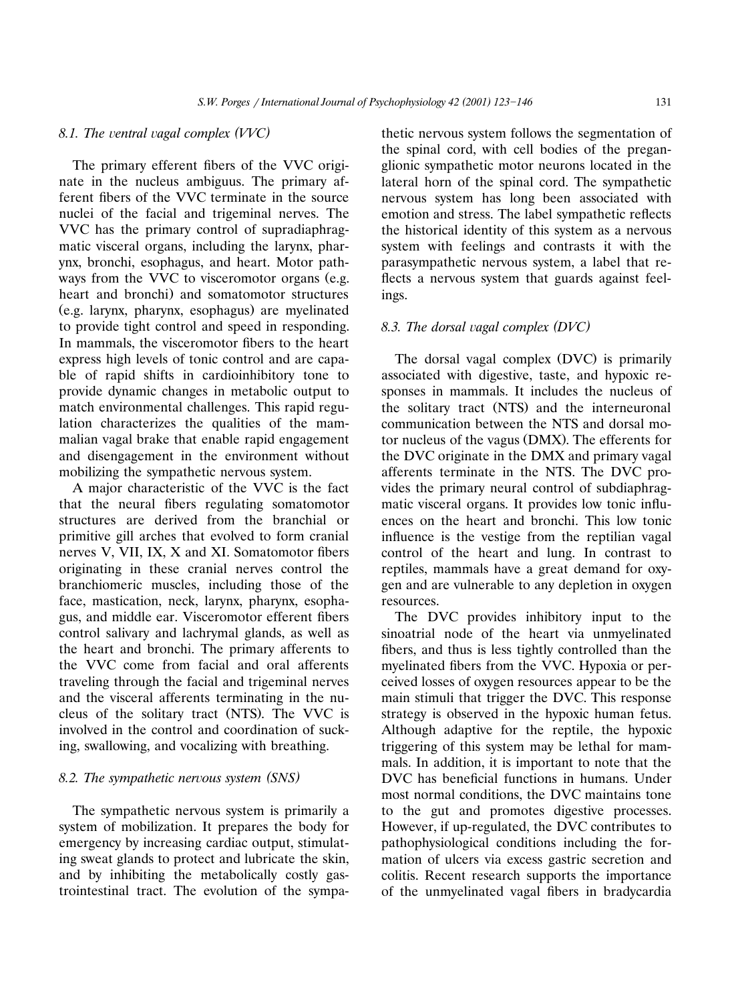#### *8.1. The entral agal complex VVC ( )*

The primary efferent fibers of the VVC originate in the nucleus ambiguus. The primary afferent fibers of the VVC terminate in the source nuclei of the facial and trigeminal nerves. The VVC has the primary control of supradiaphragmatic visceral organs, including the larynx, pharynx, bronchi, esophagus, and heart. Motor pathways from the VVC to visceromotor organs (e.g. heart and bronchi) and somatomotor structures (e.g. larynx, pharynx, esophagus) are myelinated to provide tight control and speed in responding. In mammals, the visceromotor fibers to the heart express high levels of tonic control and are capable of rapid shifts in cardioinhibitory tone to provide dynamic changes in metabolic output to match environmental challenges. This rapid regulation characterizes the qualities of the mammalian vagal brake that enable rapid engagement and disengagement in the environment without mobilizing the sympathetic nervous system.

A major characteristic of the VVC is the fact that the neural fibers regulating somatomotor structures are derived from the branchial or primitive gill arches that evolved to form cranial nerves V, VII, IX, X and XI. Somatomotor fibers originating in these cranial nerves control the branchiomeric muscles, including those of the face, mastication, neck, larynx, pharynx, esophagus, and middle ear. Visceromotor efferent fibers control salivary and lachrymal glands, as well as the heart and bronchi. The primary afferents to the VVC come from facial and oral afferents traveling through the facial and trigeminal nerves and the visceral afferents terminating in the nucleus of the solitary tract (NTS). The VVC is involved in the control and coordination of sucking, swallowing, and vocalizing with breathing.

#### *8.2. The sympathetic nerous system SNS ( )*

The sympathetic nervous system is primarily a system of mobilization. It prepares the body for emergency by increasing cardiac output, stimulating sweat glands to protect and lubricate the skin, and by inhibiting the metabolically costly gastrointestinal tract. The evolution of the sympathetic nervous system follows the segmentation of the spinal cord, with cell bodies of the preganglionic sympathetic motor neurons located in the lateral horn of the spinal cord. The sympathetic nervous system has long been associated with emotion and stress. The label sympathetic reflects the historical identity of this system as a nervous system with feelings and contrasts it with the parasympathetic nervous system, a label that reflects a nervous system that guards against feelings.

## *8.3. The dorsal agal complex DVC ( )*

The dorsal vagal complex (DVC) is primarily associated with digestive, taste, and hypoxic responses in mammals. It includes the nucleus of the solitary tract (NTS) and the interneuronal communication between the NTS and dorsal motor nucleus of the vagus (DMX). The efferents for the DVC originate in the DMX and primary vagal afferents terminate in the NTS. The DVC provides the primary neural control of subdiaphragmatic visceral organs. It provides low tonic influences on the heart and bronchi. This low tonic influence is the vestige from the reptilian vagal control of the heart and lung. In contrast to reptiles, mammals have a great demand for oxygen and are vulnerable to any depletion in oxygen resources.

The DVC provides inhibitory input to the sinoatrial node of the heart via unmyelinated fibers, and thus is less tightly controlled than the myelinated fibers from the VVC. Hypoxia or perceived losses of oxygen resources appear to be the main stimuli that trigger the DVC. This response strategy is observed in the hypoxic human fetus. Although adaptive for the reptile, the hypoxic triggering of this system may be lethal for mammals. In addition, it is important to note that the DVC has beneficial functions in humans. Under most normal conditions, the DVC maintains tone to the gut and promotes digestive processes. However, if up-regulated, the DVC contributes to pathophysiological conditions including the formation of ulcers via excess gastric secretion and colitis. Recent research supports the importance of the unmyelinated vagal fibers in bradycardia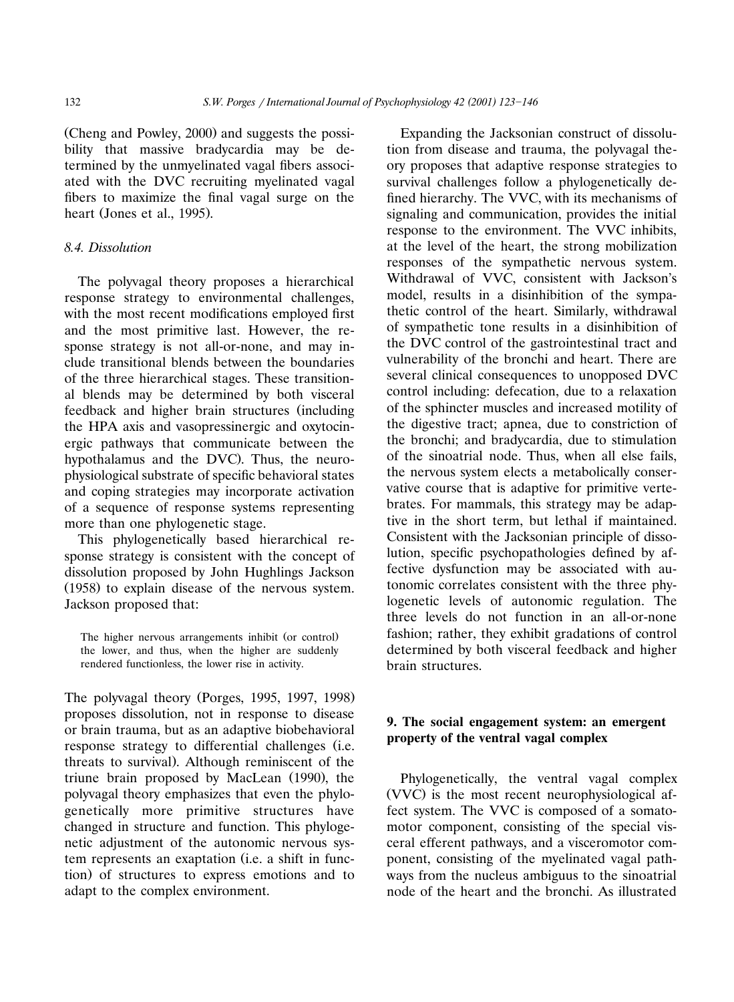(Cheng and Powley, 2000) and suggests the possibility that massive bradycardia may be determined by the unmyelinated vagal fibers associated with the DVC recruiting myelinated vagal fibers to maximize the final vagal surge on the heart (Jones et al., 1995).

## *8.4. Dissolution*

The polyvagal theory proposes a hierarchical response strategy to environmental challenges, with the most recent modifications employed first and the most primitive last. However, the response strategy is not all-or-none, and may include transitional blends between the boundaries of the three hierarchical stages. These transitional blends may be determined by both visceral feedback and higher brain structures (including the HPA axis and vasopressinergic and oxytocinergic pathways that communicate between the hypothalamus and the DVC). Thus, the neurophysiological substrate of specific behavioral states and coping strategies may incorporate activation of a sequence of response systems representing more than one phylogenetic stage.

This phylogenetically based hierarchical response strategy is consistent with the concept of dissolution proposed by John Hughlings Jackson  $(1958)$  to explain disease of the nervous system. Jackson proposed that:

The higher nervous arrangements inhibit (or control) the lower, and thus, when the higher are suddenly rendered functionless, the lower rise in activity.

The polyvagal theory (Porges, 1995, 1997, 1998) proposes dissolution, not in response to disease or brain trauma, but as an adaptive biobehavioral response strategy to differential challenges (i.e. threats to survival). Although reminiscent of the triune brain proposed by MacLean (1990), the polyvagal theory emphasizes that even the phylogenetically more primitive structures have changed in structure and function. This phylogenetic adjustment of the autonomic nervous system represents an exaptation (i.e. a shift in function) of structures to express emotions and to adapt to the complex environment.

Expanding the Jacksonian construct of dissolution from disease and trauma, the polyvagal theory proposes that adaptive response strategies to survival challenges follow a phylogenetically defined hierarchy. The VVC, with its mechanisms of signaling and communication, provides the initial response to the environment. The VVC inhibits, at the level of the heart, the strong mobilization responses of the sympathetic nervous system. Withdrawal of VVC, consistent with Jackson's model, results in a disinhibition of the sympathetic control of the heart. Similarly, withdrawal of sympathetic tone results in a disinhibition of the DVC control of the gastrointestinal tract and vulnerability of the bronchi and heart. There are several clinical consequences to unopposed DVC control including: defecation, due to a relaxation of the sphincter muscles and increased motility of the digestive tract; apnea, due to constriction of the bronchi; and bradycardia, due to stimulation of the sinoatrial node. Thus, when all else fails, the nervous system elects a metabolically conservative course that is adaptive for primitive vertebrates. For mammals, this strategy may be adaptive in the short term, but lethal if maintained. Consistent with the Jacksonian principle of dissolution, specific psychopathologies defined by affective dysfunction may be associated with autonomic correlates consistent with the three phylogenetic levels of autonomic regulation. The three levels do not function in an all-or-none fashion; rather, they exhibit gradations of control determined by both visceral feedback and higher brain structures.

## **9. The social engagement system: an emergent property of the ventral vagal complex**

Phylogenetically, the ventral vagal complex (VVC) is the most recent neurophysiological affect system. The VVC is composed of a somatomotor component, consisting of the special visceral efferent pathways, and a visceromotor component, consisting of the myelinated vagal pathways from the nucleus ambiguus to the sinoatrial node of the heart and the bronchi. As illustrated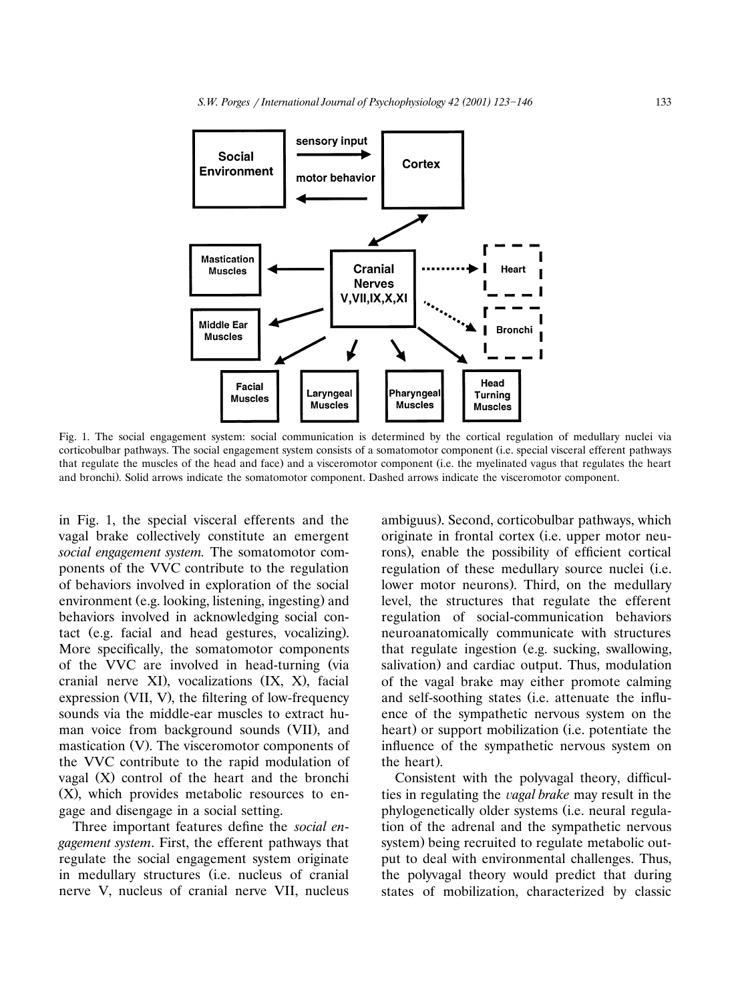

Fig. 1. The social engagement system: social communication is determined by the cortical regulation of medullary nuclei via corticobulbar pathways. The social engagement system consists of a somatomotor component (i.e. special visceral efferent pathways that regulate the muscles of the head and face) and a visceromotor component (i.e. the myelinated vagus that regulates the heart and bronchi). Solid arrows indicate the somatomotor component. Dashed arrows indicate the visceromotor component.

in Fig. 1, the special visceral efferents and the vagal brake collectively constitute an emergent *social engagement system.* The somatomotor components of the VVC contribute to the regulation of behaviors involved in exploration of the social environment (e.g. looking, listening, ingesting) and behaviors involved in acknowledging social contact (e.g. facial and head gestures, vocalizing). More specifically, the somatomotor components of the VVC are involved in head-turning (via cranial nerve XI), vocalizations (IX, X), facial expression  $(VII, V)$ , the filtering of low-frequency sounds via the middle-ear muscles to extract human voice from background sounds (VII), and mastication (V). The visceromotor components of the VVC contribute to the rapid modulation of vagal  $(X)$  control of the heart and the bronchi  $(X)$ , which provides metabolic resources to engage and disengage in a social setting.

Three important features define the *social engagement system*. First, the efferent pathways that regulate the social engagement system originate in medullary structures (i.e. nucleus of cranial nerve V, nucleus of cranial nerve VII, nucleus

ambiguus). Second, corticobulbar pathways, which originate in frontal cortex (i.e. upper motor neurons), enable the possibility of efficient cortical regulation of these medullary source nuclei (i.e. lower motor neurons). Third, on the medullary level, the structures that regulate the efferent regulation of social-communication behaviors neuroanatomically communicate with structures that regulate ingestion (e.g. sucking, swallowing, salivation) and cardiac output. Thus, modulation of the vagal brake may either promote calming and self-soothing states (i.e. attenuate the influence of the sympathetic nervous system on the heart) or support mobilization (i.e. potentiate the influence of the sympathetic nervous system on the heart).

Consistent with the polyvagal theory, difficulties in regulating the *vagal brake* may result in the phylogenetically older systems (i.e. neural regulation of the adrenal and the sympathetic nervous system) being recruited to regulate metabolic output to deal with environmental challenges. Thus, the polyvagal theory would predict that during states of mobilization, characterized by classic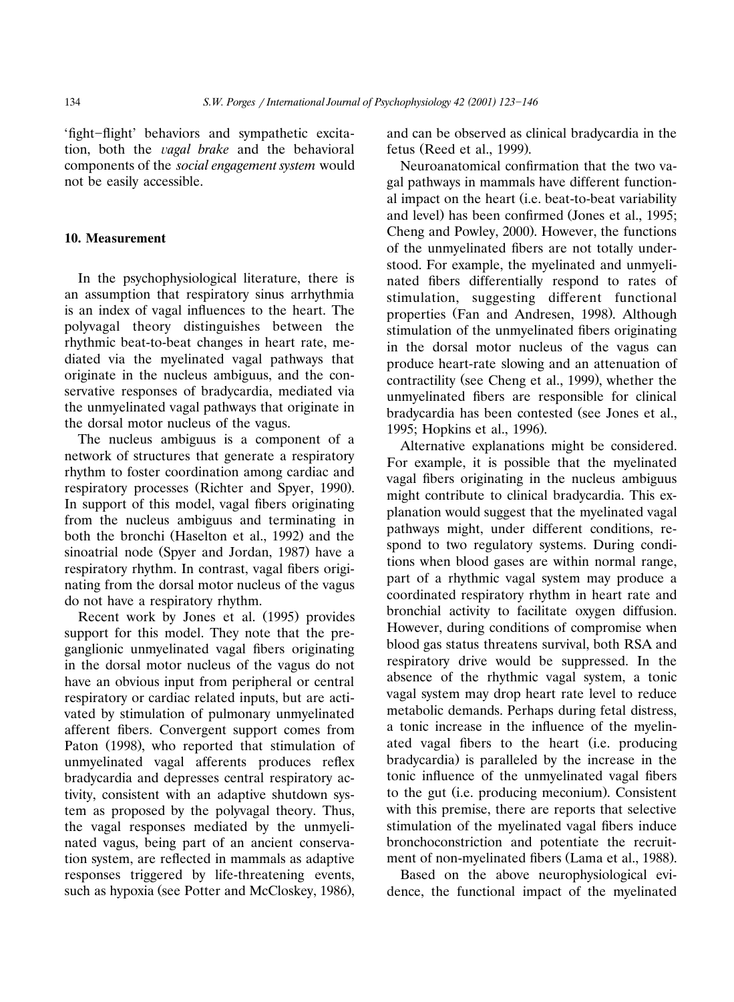'fight-flight' behaviors and sympathetic excitation, both the *vagal brake* and the behavioral components of the *social engagement system* would not be easily accessible.

## **10. Measurement**

In the psychophysiological literature, there is an assumption that respiratory sinus arrhythmia is an index of vagal influences to the heart. The polyvagal theory distinguishes between the rhythmic beat-to-beat changes in heart rate, mediated via the myelinated vagal pathways that originate in the nucleus ambiguus, and the conservative responses of bradycardia, mediated via the unmyelinated vagal pathways that originate in the dorsal motor nucleus of the vagus.

The nucleus ambiguus is a component of a network of structures that generate a respiratory rhythm to foster coordination among cardiac and respiratory processes (Richter and Spyer, 1990). In support of this model, vagal fibers originating from the nucleus ambiguus and terminating in both the bronchi (Haselton et al., 1992) and the sinoatrial node (Spyer and Jordan, 1987) have a respiratory rhythm. In contrast, vagal fibers originating from the dorsal motor nucleus of the vagus do not have a respiratory rhythm.

Recent work by Jones et al. (1995) provides support for this model. They note that the preganglionic unmyelinated vagal fibers originating in the dorsal motor nucleus of the vagus do not have an obvious input from peripheral or central respiratory or cardiac related inputs, but are activated by stimulation of pulmonary unmyelinated afferent fibers. Convergent support comes from Paton (1998), who reported that stimulation of unmyelinated vagal afferents produces reflex bradycardia and depresses central respiratory activity, consistent with an adaptive shutdown system as proposed by the polyvagal theory. Thus, the vagal responses mediated by the unmyelinated vagus, being part of an ancient conservation system, are reflected in mammals as adaptive responses triggered by life-threatening events, such as hypoxia (see Potter and McCloskey, 1986), and can be observed as clinical bradycardia in the fetus (Reed et al., 1999).

Neuroanatomical confirmation that the two vagal pathways in mammals have different functional impact on the heart (i.e. beat-to-beat variability and level) has been confirmed (Jones et al., 1995; Cheng and Powley, 2000). However, the functions of the unmyelinated fibers are not totally understood. For example, the myelinated and unmyelinated fibers differentially respond to rates of stimulation, suggesting different functional properties (Fan and Andresen, 1998). Although stimulation of the unmyelinated fibers originating in the dorsal motor nucleus of the vagus can produce heart-rate slowing and an attenuation of contractility (see Cheng et al., 1999), whether the unmyelinated fibers are responsible for clinical bradycardia has been contested (see Jones et al., 1995; Hopkins et al., 1996).

Alternative explanations might be considered. For example, it is possible that the myelinated vagal fibers originating in the nucleus ambiguus might contribute to clinical bradycardia. This explanation would suggest that the myelinated vagal pathways might, under different conditions, respond to two regulatory systems. During conditions when blood gases are within normal range, part of a rhythmic vagal system may produce a coordinated respiratory rhythm in heart rate and bronchial activity to facilitate oxygen diffusion. However, during conditions of compromise when blood gas status threatens survival, both RSA and respiratory drive would be suppressed. In the absence of the rhythmic vagal system, a tonic vagal system may drop heart rate level to reduce metabolic demands. Perhaps during fetal distress, a tonic increase in the influence of the myelinated vagal fibers to the heart (i.e. producing bradycardia) is paralleled by the increase in the tonic influence of the unmyelinated vagal fibers to the gut (i.e. producing meconium). Consistent with this premise, there are reports that selective stimulation of the myelinated vagal fibers induce bronchoconstriction and potentiate the recruitment of non-myelinated fibers (Lama et al., 1988).

Based on the above neurophysiological evidence, the functional impact of the myelinated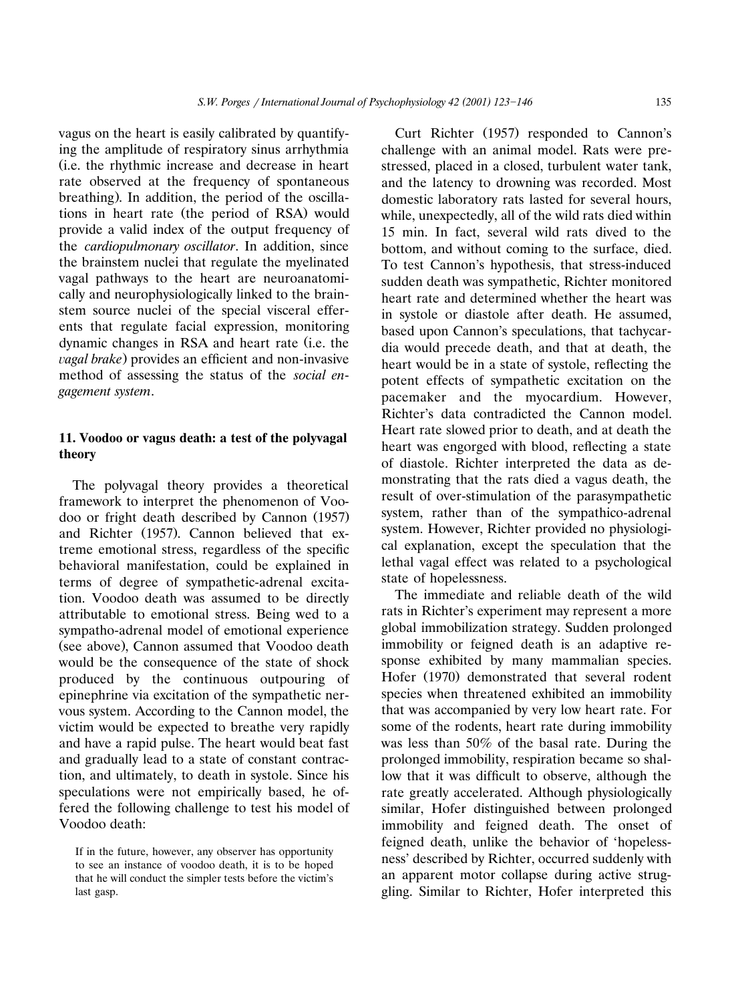vagus on the heart is easily calibrated by quantifying the amplitude of respiratory sinus arrhythmia Ži.e. the rhythmic increase and decrease in heart rate observed at the frequency of spontaneous breathing). In addition, the period of the oscillations in heart rate (the period of RSA) would provide a valid index of the output frequency of the *cardiopulmonary oscillator*. In addition, since the brainstem nuclei that regulate the myelinated vagal pathways to the heart are neuroanatomically and neurophysiologically linked to the brainstem source nuclei of the special visceral efferents that regulate facial expression, monitoring dynamic changes in RSA and heart rate (i.e. the *vagal brake*) provides an efficient and non-invasive method of assessing the status of the *social engagement system*.

## **11. Voodoo or vagus death: a test of the polyvagal theory**

The polyvagal theory provides a theoretical framework to interpret the phenomenon of Voodoo or fright death described by Cannon (1957) and Richter (1957). Cannon believed that extreme emotional stress, regardless of the specific behavioral manifestation, could be explained in terms of degree of sympathetic-adrenal excitation. Voodoo death was assumed to be directly attributable to emotional stress. Being wed to a sympatho-adrenal model of emotional experience (see above). Cannon assumed that Voodoo death would be the consequence of the state of shock produced by the continuous outpouring of epinephrine via excitation of the sympathetic nervous system. According to the Cannon model, the victim would be expected to breathe very rapidly and have a rapid pulse. The heart would beat fast and gradually lead to a state of constant contraction, and ultimately, to death in systole. Since his speculations were not empirically based, he offered the following challenge to test his model of Voodoo death:

Curt Richter (1957) responded to Cannon's challenge with an animal model. Rats were prestressed, placed in a closed, turbulent water tank, and the latency to drowning was recorded. Most domestic laboratory rats lasted for several hours, while, unexpectedly, all of the wild rats died within 15 min. In fact, several wild rats dived to the bottom, and without coming to the surface, died. To test Cannon's hypothesis, that stress-induced sudden death was sympathetic, Richter monitored heart rate and determined whether the heart was in systole or diastole after death. He assumed, based upon Cannon's speculations, that tachycardia would precede death, and that at death, the heart would be in a state of systole, reflecting the potent effects of sympathetic excitation on the pacemaker and the myocardium. However, Richter's data contradicted the Cannon model. Heart rate slowed prior to death, and at death the heart was engorged with blood, reflecting a state of diastole. Richter interpreted the data as demonstrating that the rats died a vagus death, the result of over-stimulation of the parasympathetic system, rather than of the sympathico-adrenal system. However, Richter provided no physiological explanation, except the speculation that the lethal vagal effect was related to a psychological state of hopelessness.

The immediate and reliable death of the wild rats in Richter's experiment may represent a more global immobilization strategy. Sudden prolonged immobility or feigned death is an adaptive response exhibited by many mammalian species. Hofer (1970) demonstrated that several rodent species when threatened exhibited an immobility that was accompanied by very low heart rate. For some of the rodents, heart rate during immobility was less than 50% of the basal rate. During the prolonged immobility, respiration became so shallow that it was difficult to observe, although the rate greatly accelerated. Although physiologically similar, Hofer distinguished between prolonged immobility and feigned death. The onset of feigned death, unlike the behavior of 'hopelessness' described by Richter, occurred suddenly with an apparent motor collapse during active struggling. Similar to Richter, Hofer interpreted this

If in the future, however, any observer has opportunity to see an instance of voodoo death, it is to be hoped that he will conduct the simpler tests before the victim's last gasp.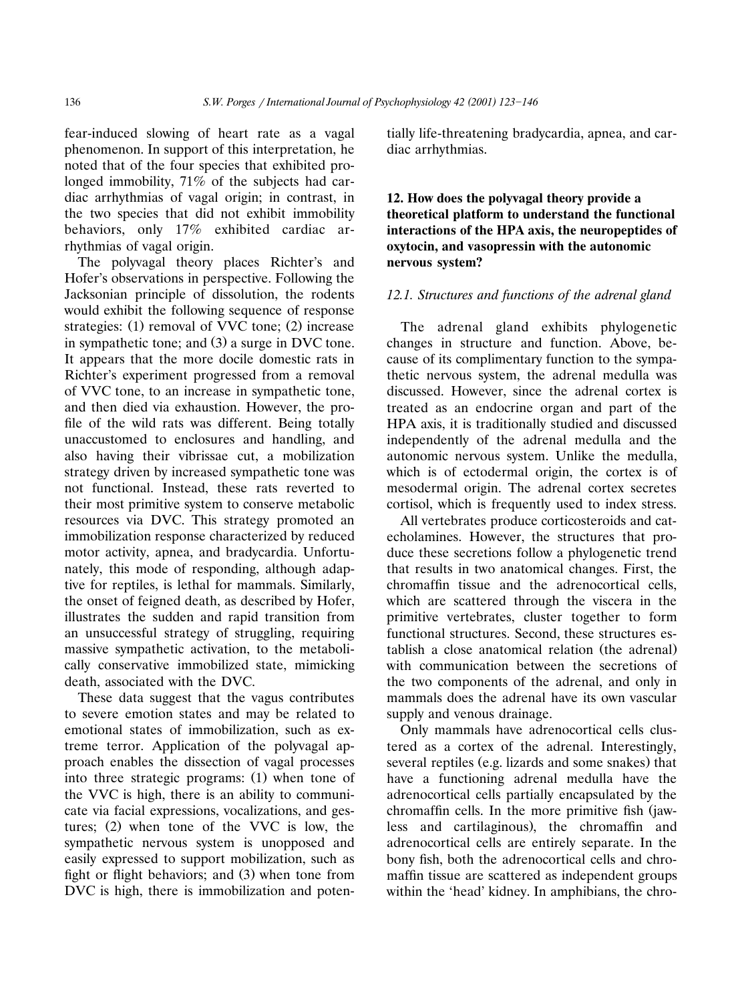fear-induced slowing of heart rate as a vagal phenomenon. In support of this interpretation, he noted that of the four species that exhibited prolonged immobility, 71% of the subjects had cardiac arrhythmias of vagal origin; in contrast, in the two species that did not exhibit immobility behaviors, only 17% exhibited cardiac arrhythmias of vagal origin.

The polyvagal theory places Richter's and Hofer's observations in perspective. Following the Jacksonian principle of dissolution, the rodents would exhibit the following sequence of response strategies:  $(1)$  removal of VVC tone;  $(2)$  increase in sympathetic tone; and  $(3)$  a surge in DVC tone. It appears that the more docile domestic rats in Richter's experiment progressed from a removal of VVC tone, to an increase in sympathetic tone, and then died via exhaustion. However, the profile of the wild rats was different. Being totally unaccustomed to enclosures and handling, and also having their vibrissae cut, a mobilization strategy driven by increased sympathetic tone was not functional. Instead, these rats reverted to their most primitive system to conserve metabolic resources via DVC. This strategy promoted an immobilization response characterized by reduced motor activity, apnea, and bradycardia. Unfortunately, this mode of responding, although adaptive for reptiles, is lethal for mammals. Similarly, the onset of feigned death, as described by Hofer, illustrates the sudden and rapid transition from an unsuccessful strategy of struggling, requiring massive sympathetic activation, to the metabolically conservative immobilized state, mimicking death, associated with the DVC.

These data suggest that the vagus contributes to severe emotion states and may be related to emotional states of immobilization, such as extreme terror. Application of the polyvagal approach enables the dissection of vagal processes into three strategic programs:  $(1)$  when tone of the VVC is high, there is an ability to communicate via facial expressions, vocalizations, and gestures;  $(2)$  when tone of the VVC is low, the sympathetic nervous system is unopposed and easily expressed to support mobilization, such as fight or flight behaviors; and  $(3)$  when tone from DVC is high, there is immobilization and potentially life-threatening bradycardia, apnea, and cardiac arrhythmias.

## **12. How does the polyvagal theory provide a theoretical platform to understand the functional interactions of the HPA axis, the neuropeptides of oxytocin, and vasopressin with the autonomic nervous system?**

## *12.1. Structures and functions of the adrenal gland*

The adrenal gland exhibits phylogenetic changes in structure and function. Above, because of its complimentary function to the sympathetic nervous system, the adrenal medulla was discussed. However, since the adrenal cortex is treated as an endocrine organ and part of the HPA axis, it is traditionally studied and discussed independently of the adrenal medulla and the autonomic nervous system. Unlike the medulla, which is of ectodermal origin, the cortex is of mesodermal origin. The adrenal cortex secretes cortisol, which is frequently used to index stress.

All vertebrates produce corticosteroids and catecholamines. However, the structures that produce these secretions follow a phylogenetic trend that results in two anatomical changes. First, the chromaffin tissue and the adrenocortical cells, which are scattered through the viscera in the primitive vertebrates, cluster together to form functional structures. Second, these structures establish a close anatomical relation (the adrenal) with communication between the secretions of the two components of the adrenal, and only in mammals does the adrenal have its own vascular supply and venous drainage.

Only mammals have adrenocortical cells clustered as a cortex of the adrenal. Interestingly, several reptiles (e.g. lizards and some snakes) that have a functioning adrenal medulla have the adrenocortical cells partially encapsulated by the chromaffin cells. In the more primitive fish (jawless and cartilaginous), the chromaffin and adrenocortical cells are entirely separate. In the bony fish, both the adrenocortical cells and chromaffin tissue are scattered as independent groups within the 'head' kidney. In amphibians, the chro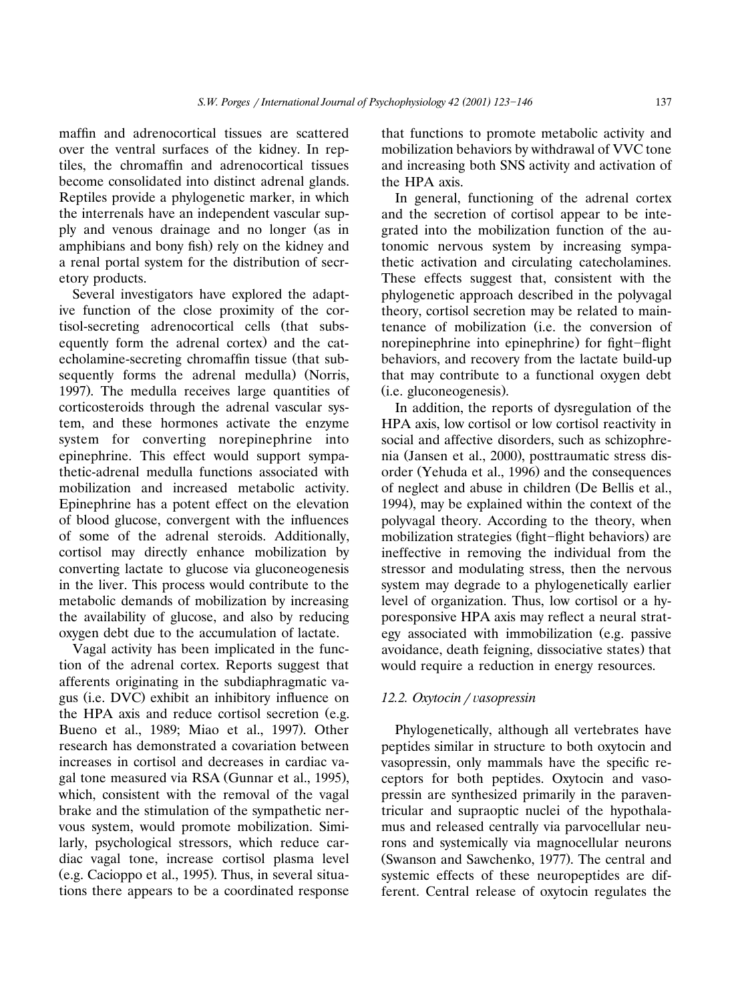maffin and adrenocortical tissues are scattered over the ventral surfaces of the kidney. In reptiles, the chromaffin and adrenocortical tissues become consolidated into distinct adrenal glands. Reptiles provide a phylogenetic marker, in which the interrenals have an independent vascular supply and venous drainage and no longer (as in amphibians and bony fish) rely on the kidney and a renal portal system for the distribution of secretory products.

Several investigators have explored the adaptive function of the close proximity of the cortisol-secreting adrenocortical cells (that subsequently form the adrenal cortex) and the catecholamine-secreting chromaffin tissue (that subsequently forms the adrenal medulla) (Norris, 1997). The medulla receives large quantities of corticosteroids through the adrenal vascular system, and these hormones activate the enzyme system for converting norepinephrine into epinephrine. This effect would support sympathetic-adrenal medulla functions associated with mobilization and increased metabolic activity. Epinephrine has a potent effect on the elevation of blood glucose, convergent with the influences of some of the adrenal steroids. Additionally, cortisol may directly enhance mobilization by converting lactate to glucose via gluconeogenesis in the liver. This process would contribute to the metabolic demands of mobilization by increasing the availability of glucose, and also by reducing oxygen debt due to the accumulation of lactate.

Vagal activity has been implicated in the function of the adrenal cortex. Reports suggest that afferents originating in the subdiaphragmatic vagus (i.e. DVC) exhibit an inhibitory influence on the HPA axis and reduce cortisol secretion (e.g. Bueno et al., 1989; Miao et al., 1997). Other research has demonstrated a covariation between increases in cortisol and decreases in cardiac vagal tone measured via RSA (Gunnar et al., 1995). which, consistent with the removal of the vagal brake and the stimulation of the sympathetic nervous system, would promote mobilization. Similarly, psychological stressors, which reduce cardiac vagal tone, increase cortisol plasma level (e.g. Cacioppo et al., 1995). Thus, in several situations there appears to be a coordinated response that functions to promote metabolic activity and mobilization behaviors by withdrawal of VVC tone and increasing both SNS activity and activation of the HPA axis.

In general, functioning of the adrenal cortex and the secretion of cortisol appear to be integrated into the mobilization function of the autonomic nervous system by increasing sympathetic activation and circulating catecholamines. These effects suggest that, consistent with the phylogenetic approach described in the polyvagal theory, cortisol secretion may be related to maintenance of mobilization (i.e. the conversion of norepinephrine into epinephrine) for fight-flight behaviors, and recovery from the lactate build-up that may contribute to a functional oxygen debt (i.e. gluconeogenesis).

In addition, the reports of dysregulation of the HPA axis, low cortisol or low cortisol reactivity in social and affective disorders, such as schizophrenia (Jansen et al., 2000), posttraumatic stress disorder (Yehuda et al., 1996) and the consequences of neglect and abuse in children (De Bellis et al., 1994), may be explained within the context of the polyvagal theory. According to the theory, when mobilization strategies (fight-flight behaviors) are ineffective in removing the individual from the stressor and modulating stress, then the nervous system may degrade to a phylogenetically earlier level of organization. Thus, low cortisol or a hyporesponsive HPA axis may reflect a neural strategy associated with immobilization (e.g. passive avoidance, death feigning, dissociative states) that would require a reduction in energy resources.

## *12.2. Oxytocin*-*asopressin*

Phylogenetically, although all vertebrates have peptides similar in structure to both oxytocin and vasopressin, only mammals have the specific receptors for both peptides. Oxytocin and vasopressin are synthesized primarily in the paraventricular and supraoptic nuclei of the hypothalamus and released centrally via parvocellular neurons and systemically via magnocellular neurons (Swanson and Sawchenko, 1977). The central and systemic effects of these neuropeptides are different. Central release of oxytocin regulates the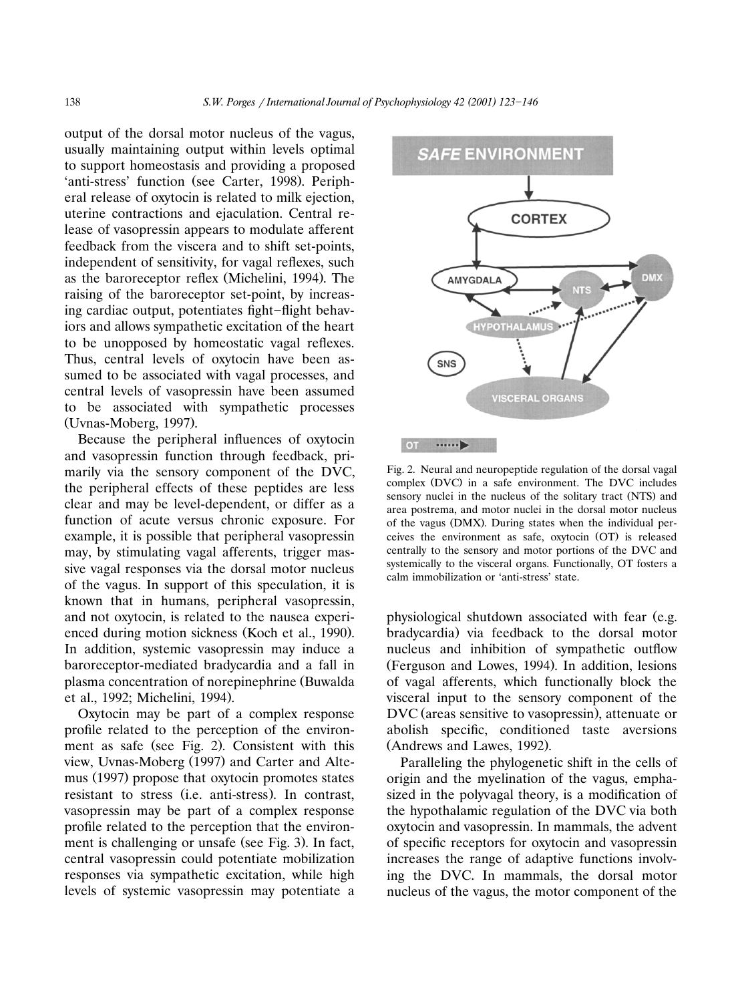output of the dorsal motor nucleus of the vagus, usually maintaining output within levels optimal to support homeostasis and providing a proposed 'anti-stress' function (see Carter, 1998). Peripheral release of oxytocin is related to milk ejection, uterine contractions and ejaculation. Central release of vasopressin appears to modulate afferent feedback from the viscera and to shift set-points, independent of sensitivity, for vagal reflexes, such as the baroreceptor reflex (Michelini, 1994). The raising of the baroreceptor set-point, by increasing cardiac output, potentiates fight-flight behaviors and allows sympathetic excitation of the heart to be unopposed by homeostatic vagal reflexes. Thus, central levels of oxytocin have been assumed to be associated with vagal processes, and central levels of vasopressin have been assumed to be associated with sympathetic processes (Uvnas-Moberg, 1997).

Because the peripheral influences of oxytocin and vasopressin function through feedback, primarily via the sensory component of the DVC, the peripheral effects of these peptides are less clear and may be level-dependent, or differ as a function of acute versus chronic exposure. For example, it is possible that peripheral vasopressin may, by stimulating vagal afferents, trigger massive vagal responses via the dorsal motor nucleus of the vagus. In support of this speculation, it is known that in humans, peripheral vasopressin, and not oxytocin, is related to the nausea experienced during motion sickness (Koch et al., 1990). In addition, systemic vasopressin may induce a baroreceptor-mediated bradycardia and a fall in plasma concentration of norepinephrine (Buwalda et al., 1992; Michelini, 1994).

Oxytocin may be part of a complex response profile related to the perception of the environment as safe (see Fig. 2). Consistent with this view, Uvnas-Moberg (1997) and Carter and Altemus (1997) propose that oxytocin promotes states resistant to stress (i.e. anti-stress). In contrast, vasopressin may be part of a complex response profile related to the perception that the environment is challenging or unsafe (see Fig. 3). In fact, central vasopressin could potentiate mobilization responses via sympathetic excitation, while high levels of systemic vasopressin may potentiate a



Fig. 2. Neural and neuropeptide regulation of the dorsal vagal complex (DVC) in a safe environment. The DVC includes sensory nuclei in the nucleus of the solitary tract (NTS) and area postrema, and motor nuclei in the dorsal motor nucleus of the vagus (DMX). During states when the individual perceives the environment as safe, oxytocin (OT) is released centrally to the sensory and motor portions of the DVC and systemically to the visceral organs. Functionally, OT fosters a calm immobilization or 'anti-stress' state.

physiological shutdown associated with fear (e.g. bradycardia) via feedback to the dorsal motor nucleus and inhibition of sympathetic outflow (Ferguson and Lowes, 1994). In addition, lesions of vagal afferents, which functionally block the visceral input to the sensory component of the DVC (areas sensitive to vasopressin), attenuate or abolish specific, conditioned taste aversions (Andrews and Lawes, 1992).

Paralleling the phylogenetic shift in the cells of origin and the myelination of the vagus, emphasized in the polyvagal theory, is a modification of the hypothalamic regulation of the DVC via both oxytocin and vasopressin. In mammals, the advent of specific receptors for oxytocin and vasopressin increases the range of adaptive functions involving the DVC. In mammals, the dorsal motor nucleus of the vagus, the motor component of the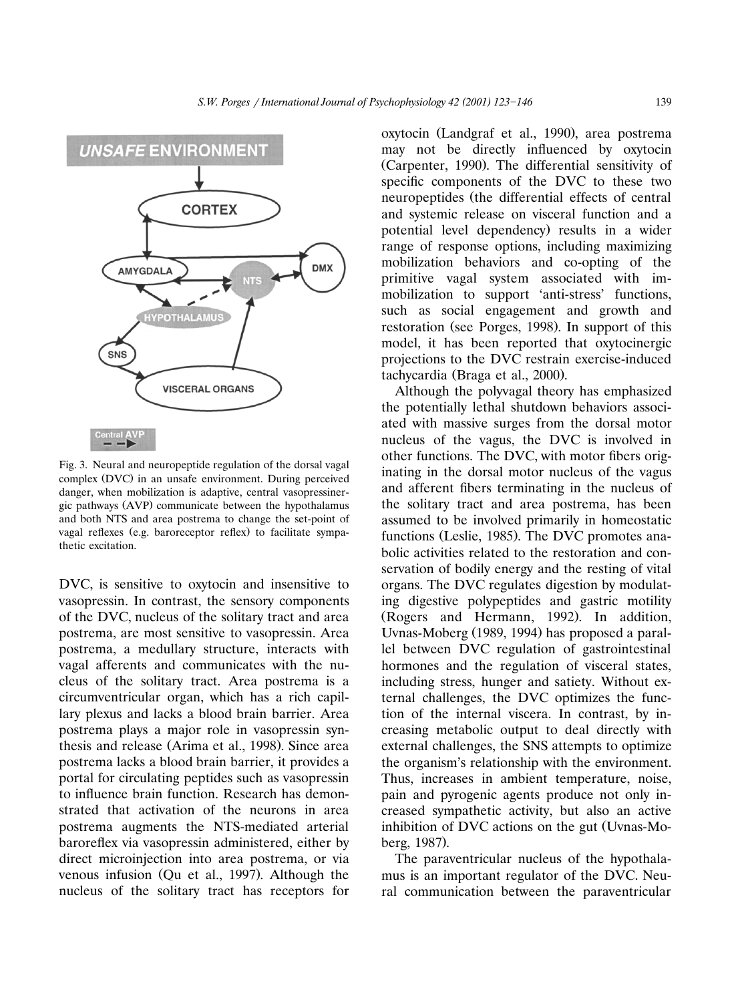

Fig. 3. Neural and neuropeptide regulation of the dorsal vagal complex (DVC) in an unsafe environment. During perceived danger, when mobilization is adaptive, central vasopressinergic pathways (AVP) communicate between the hypothalamus and both NTS and area postrema to change the set-point of vagal reflexes (e.g. baroreceptor reflex) to facilitate sympathetic excitation.

DVC, is sensitive to oxytocin and insensitive to vasopressin. In contrast, the sensory components of the DVC, nucleus of the solitary tract and area postrema, are most sensitive to vasopressin. Area postrema, a medullary structure, interacts with vagal afferents and communicates with the nucleus of the solitary tract. Area postrema is a circumventricular organ, which has a rich capillary plexus and lacks a blood brain barrier. Area postrema plays a major role in vasopressin synthesis and release (Arima et al., 1998). Since area postrema lacks a blood brain barrier, it provides a portal for circulating peptides such as vasopressin to influence brain function. Research has demonstrated that activation of the neurons in area postrema augments the NTS-mediated arterial baroreflex via vasopressin administered, either by direct microinjection into area postrema, or via venous infusion (Qu et al., 1997). Although the nucleus of the solitary tract has receptors for oxytocin (Landgraf et al., 1990), area postrema may not be directly influenced by oxytocin (Carpenter, 1990). The differential sensitivity of specific components of the DVC to these two neuropeptides (the differential effects of central and systemic release on visceral function and a potential level dependency) results in a wider range of response options, including maximizing mobilization behaviors and co-opting of the primitive vagal system associated with immobilization to support 'anti-stress' functions, such as social engagement and growth and restoration (see Porges, 1998). In support of this model, it has been reported that oxytocinergic projections to the DVC restrain exercise-induced tachycardia (Braga et al., 2000).

Although the polyvagal theory has emphasized the potentially lethal shutdown behaviors associated with massive surges from the dorsal motor nucleus of the vagus, the DVC is involved in other functions. The DVC, with motor fibers originating in the dorsal motor nucleus of the vagus and afferent fibers terminating in the nucleus of the solitary tract and area postrema, has been assumed to be involved primarily in homeostatic functions (Leslie, 1985). The DVC promotes anabolic activities related to the restoration and conservation of bodily energy and the resting of vital organs. The DVC regulates digestion by modulating digestive polypeptides and gastric motility (Rogers and Hermann, 1992). In addition, Uvnas-Moberg (1989, 1994) has proposed a parallel between DVC regulation of gastrointestinal hormones and the regulation of visceral states, including stress, hunger and satiety. Without external challenges, the DVC optimizes the function of the internal viscera. In contrast, by increasing metabolic output to deal directly with external challenges, the SNS attempts to optimize the organism's relationship with the environment. Thus, increases in ambient temperature, noise, pain and pyrogenic agents produce not only increased sympathetic activity, but also an active inhibition of DVC actions on the gut (Uvnas-Moberg, 1987).

The paraventricular nucleus of the hypothalamus is an important regulator of the DVC. Neural communication between the paraventricular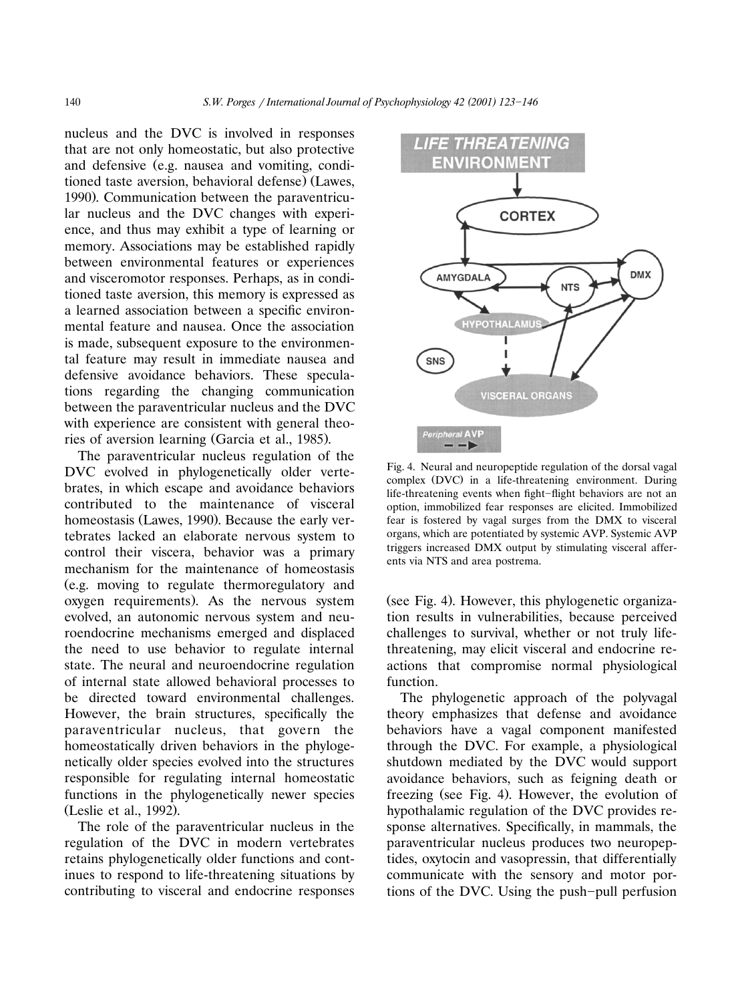nucleus and the DVC is involved in responses that are not only homeostatic, but also protective and defensive (e.g. nausea and vomiting, conditioned taste aversion, behavioral defense) (Lawes, 1990). Communication between the paraventricular nucleus and the DVC changes with experience, and thus may exhibit a type of learning or memory. Associations may be established rapidly between environmental features or experiences and visceromotor responses. Perhaps, as in conditioned taste aversion, this memory is expressed as a learned association between a specific environmental feature and nausea. Once the association is made, subsequent exposure to the environmental feature may result in immediate nausea and defensive avoidance behaviors. These speculations regarding the changing communication between the paraventricular nucleus and the DVC with experience are consistent with general theories of aversion learning (Garcia et al., 1985).

The paraventricular nucleus regulation of the DVC evolved in phylogenetically older vertebrates, in which escape and avoidance behaviors contributed to the maintenance of visceral homeostasis (Lawes, 1990). Because the early vertebrates lacked an elaborate nervous system to control their viscera, behavior was a primary mechanism for the maintenance of homeostasis Že.g. moving to regulate thermoregulatory and oxygen requirements). As the nervous system evolved, an autonomic nervous system and neuroendocrine mechanisms emerged and displaced the need to use behavior to regulate internal state. The neural and neuroendocrine regulation of internal state allowed behavioral processes to be directed toward environmental challenges. However, the brain structures, specifically the paraventricular nucleus, that govern the homeostatically driven behaviors in the phylogenetically older species evolved into the structures responsible for regulating internal homeostatic functions in the phylogenetically newer species (Leslie et al., 1992).

The role of the paraventricular nucleus in the regulation of the DVC in modern vertebrates retains phylogenetically older functions and continues to respond to life-threatening situations by contributing to visceral and endocrine responses



Fig. 4. Neural and neuropeptide regulation of the dorsal vagal complex (DVC) in a life-threatening environment. During life-threatening events when fight-flight behaviors are not an option, immobilized fear responses are elicited. Immobilized fear is fostered by vagal surges from the DMX to visceral organs, which are potentiated by systemic AVP. Systemic AVP triggers increased DMX output by stimulating visceral afferents via NTS and area postrema.

(see Fig. 4). However, this phylogenetic organization results in vulnerabilities, because perceived challenges to survival, whether or not truly lifethreatening, may elicit visceral and endocrine reactions that compromise normal physiological function.

The phylogenetic approach of the polyvagal theory emphasizes that defense and avoidance behaviors have a vagal component manifested through the DVC. For example, a physiological shutdown mediated by the DVC would support avoidance behaviors, such as feigning death or freezing (see Fig. 4). However, the evolution of hypothalamic regulation of the DVC provides response alternatives. Specifically, in mammals, the paraventricular nucleus produces two neuropeptides, oxytocin and vasopressin, that differentially communicate with the sensory and motor portions of the DVC. Using the push-pull perfusion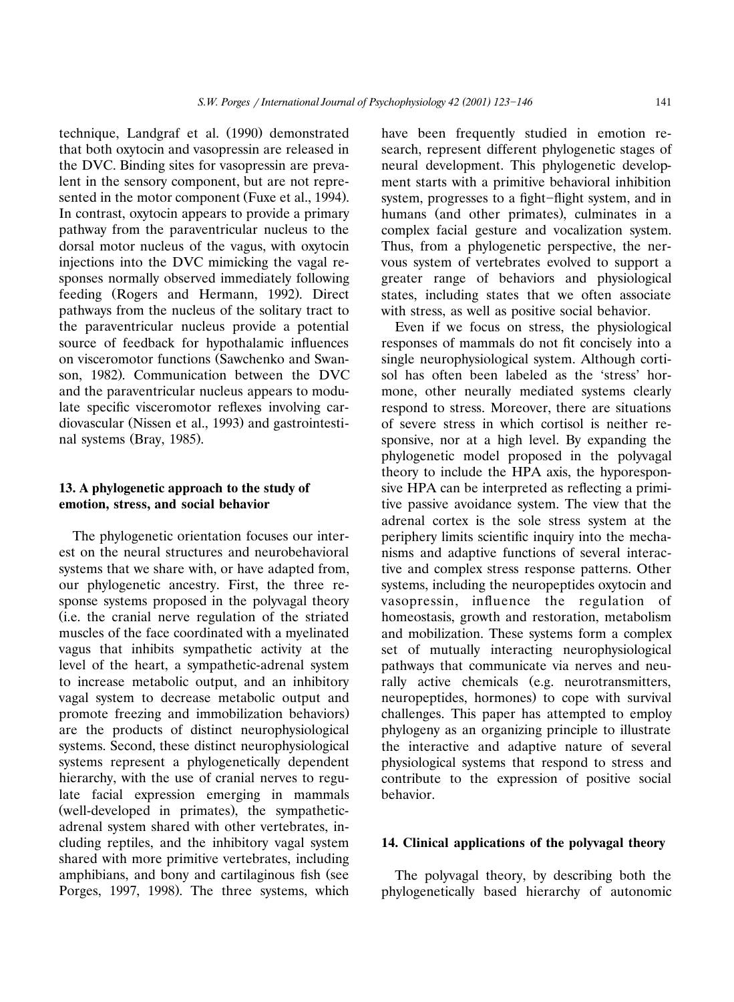technique, Landgraf et al. (1990) demonstrated that both oxytocin and vasopressin are released in the DVC. Binding sites for vasopressin are prevalent in the sensory component, but are not represented in the motor component (Fuxe et al., 1994). In contrast, oxytocin appears to provide a primary pathway from the paraventricular nucleus to the dorsal motor nucleus of the vagus, with oxytocin injections into the DVC mimicking the vagal responses normally observed immediately following feeding (Rogers and Hermann, 1992). Direct pathways from the nucleus of the solitary tract to the paraventricular nucleus provide a potential source of feedback for hypothalamic influences on visceromotor functions (Sawchenko and Swanson, 1982). Communication between the DVC and the paraventricular nucleus appears to modulate specific visceromotor reflexes involving cardiovascular (Nissen et al., 1993) and gastrointestinal systems (Bray, 1985).

## **13. A phylogenetic approach to the study of emotion, stress, and social behavior**

The phylogenetic orientation focuses our interest on the neural structures and neurobehavioral systems that we share with, or have adapted from, our phylogenetic ancestry. First, the three response systems proposed in the polyvagal theory (i.e. the cranial nerve regulation of the striated muscles of the face coordinated with a myelinated vagus that inhibits sympathetic activity at the level of the heart, a sympathetic-adrenal system to increase metabolic output, and an inhibitory vagal system to decrease metabolic output and promote freezing and immobilization behaviors. are the products of distinct neurophysiological systems. Second, these distinct neurophysiological systems represent a phylogenetically dependent hierarchy, with the use of cranial nerves to regulate facial expression emerging in mammals (well-developed in primates), the sympatheticadrenal system shared with other vertebrates, including reptiles, and the inhibitory vagal system shared with more primitive vertebrates, including amphibians, and bony and cartilaginous fish (see Porges, 1997, 1998). The three systems, which have been frequently studied in emotion research, represent different phylogenetic stages of neural development. This phylogenetic development starts with a primitive behavioral inhibition system, progresses to a fight-flight system, and in humans (and other primates), culminates in a complex facial gesture and vocalization system. Thus, from a phylogenetic perspective, the nervous system of vertebrates evolved to support a greater range of behaviors and physiological states, including states that we often associate with stress, as well as positive social behavior.

Even if we focus on stress, the physiological responses of mammals do not fit concisely into a single neurophysiological system. Although cortisol has often been labeled as the 'stress' hormone, other neurally mediated systems clearly respond to stress. Moreover, there are situations of severe stress in which cortisol is neither responsive, nor at a high level. By expanding the phylogenetic model proposed in the polyvagal theory to include the HPA axis, the hyporesponsive HPA can be interpreted as reflecting a primitive passive avoidance system. The view that the adrenal cortex is the sole stress system at the periphery limits scientific inquiry into the mechanisms and adaptive functions of several interactive and complex stress response patterns. Other systems, including the neuropeptides oxytocin and vasopressin, influence the regulation of homeostasis, growth and restoration, metabolism and mobilization. These systems form a complex set of mutually interacting neurophysiological pathways that communicate via nerves and neurally active chemicals (e.g. neurotransmitters, neuropeptides, hormones) to cope with survival challenges. This paper has attempted to employ phylogeny as an organizing principle to illustrate the interactive and adaptive nature of several physiological systems that respond to stress and contribute to the expression of positive social behavior.

#### **14. Clinical applications of the polyvagal theory**

The polyvagal theory, by describing both the phylogenetically based hierarchy of autonomic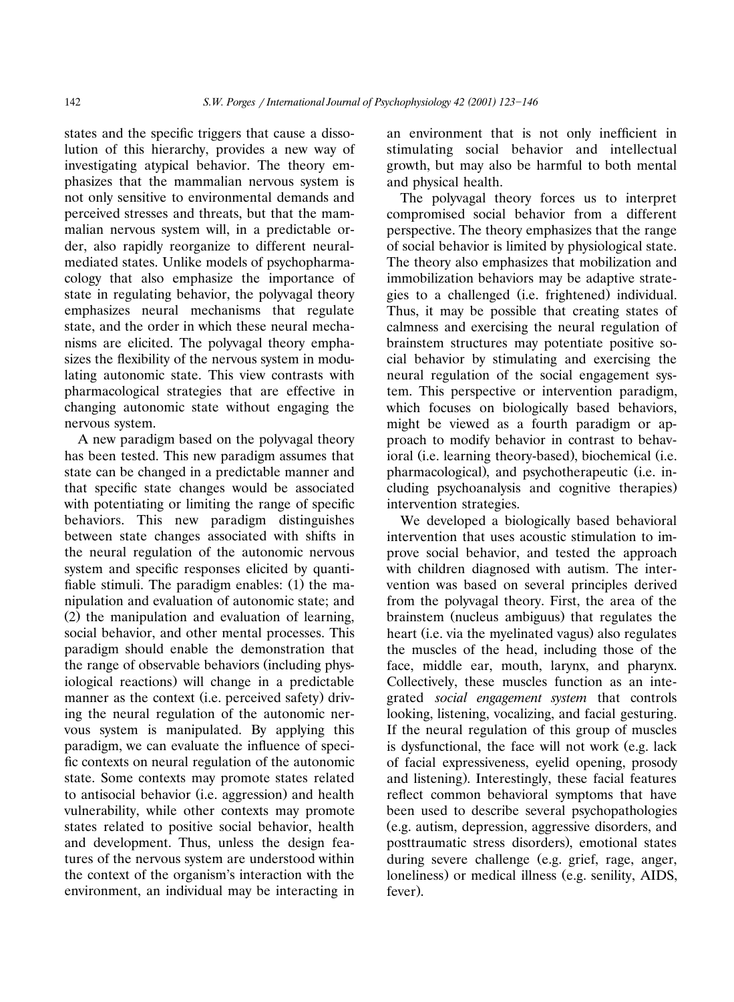states and the specific triggers that cause a dissolution of this hierarchy, provides a new way of investigating atypical behavior. The theory emphasizes that the mammalian nervous system is not only sensitive to environmental demands and perceived stresses and threats, but that the mammalian nervous system will, in a predictable order, also rapidly reorganize to different neuralmediated states. Unlike models of psychopharmacology that also emphasize the importance of state in regulating behavior, the polyvagal theory emphasizes neural mechanisms that regulate state, and the order in which these neural mechanisms are elicited. The polyvagal theory emphasizes the flexibility of the nervous system in modulating autonomic state. This view contrasts with pharmacological strategies that are effective in changing autonomic state without engaging the nervous system.

A new paradigm based on the polyvagal theory has been tested. This new paradigm assumes that state can be changed in a predictable manner and that specific state changes would be associated with potentiating or limiting the range of specific behaviors. This new paradigm distinguishes between state changes associated with shifts in the neural regulation of the autonomic nervous system and specific responses elicited by quantifiable stimuli. The paradigm enables:  $(1)$  the manipulation and evaluation of autonomic state; and  $(2)$  the manipulation and evaluation of learning, social behavior, and other mental processes. This paradigm should enable the demonstration that the range of observable behaviors (including physiological reactions) will change in a predictable manner as the context (*i.e.* perceived safety) driving the neural regulation of the autonomic nervous system is manipulated. By applying this paradigm, we can evaluate the influence of specific contexts on neural regulation of the autonomic state. Some contexts may promote states related to antisocial behavior (i.e. aggression) and health vulnerability, while other contexts may promote states related to positive social behavior, health and development. Thus, unless the design features of the nervous system are understood within the context of the organism's interaction with the environment, an individual may be interacting in an environment that is not only inefficient in stimulating social behavior and intellectual growth, but may also be harmful to both mental and physical health.

The polyvagal theory forces us to interpret compromised social behavior from a different perspective. The theory emphasizes that the range of social behavior is limited by physiological state. The theory also emphasizes that mobilization and immobilization behaviors may be adaptive strategies to a challenged (i.e. frightened) individual. Thus, it may be possible that creating states of calmness and exercising the neural regulation of brainstem structures may potentiate positive social behavior by stimulating and exercising the neural regulation of the social engagement system. This perspective or intervention paradigm, which focuses on biologically based behaviors, might be viewed as a fourth paradigm or approach to modify behavior in contrast to behavioral (*i.e.* learning theory-based), biochemical (*i.e.* pharmacological), and psychotherapeutic (i.e. including psychoanalysis and cognitive therapies. intervention strategies.

We developed a biologically based behavioral intervention that uses acoustic stimulation to improve social behavior, and tested the approach with children diagnosed with autism. The intervention was based on several principles derived from the polyvagal theory. First, the area of the brainstem (nucleus ambiguus) that regulates the heart (i.e. via the myelinated vagus) also regulates the muscles of the head, including those of the face, middle ear, mouth, larynx, and pharynx. Collectively, these muscles function as an integrated *social engagement system* that controls looking, listening, vocalizing, and facial gesturing. If the neural regulation of this group of muscles is dysfunctional, the face will not work (e.g. lack of facial expressiveness, eyelid opening, prosody and listening). Interestingly, these facial features reflect common behavioral symptoms that have been used to describe several psychopathologies Že.g. autism, depression, aggressive disorders, and posttraumatic stress disorders), emotional states during severe challenge (e.g. grief, rage, anger, loneliness) or medical illness (e.g. senility, AIDS, fever).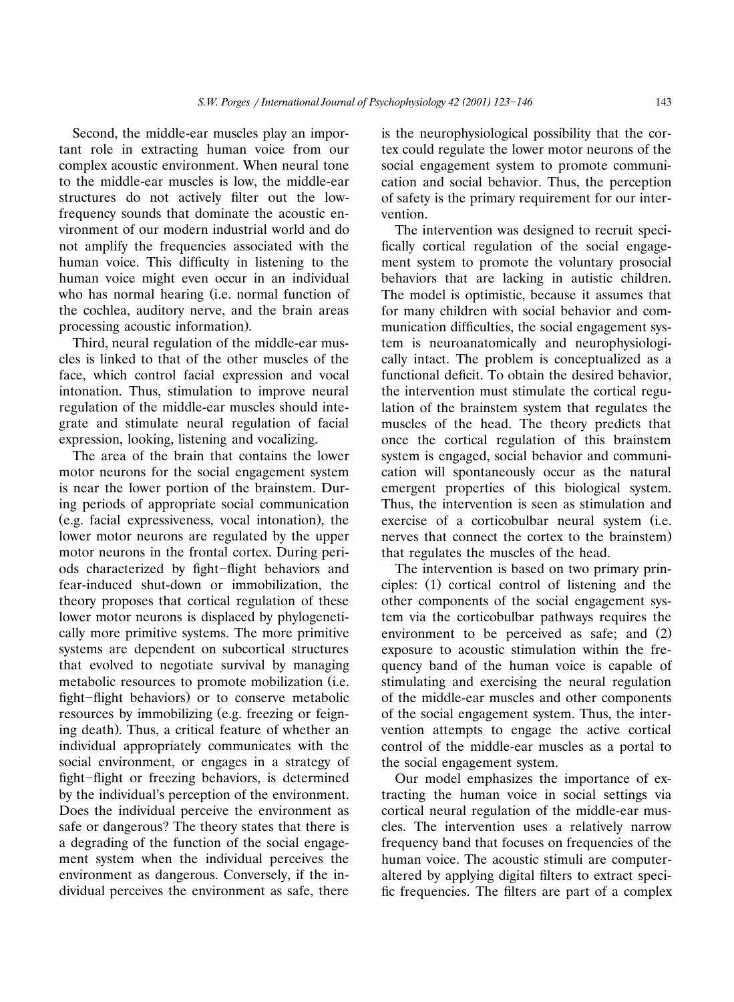Second, the middle-ear muscles play an important role in extracting human voice from our complex acoustic environment. When neural tone to the middle-ear muscles is low, the middle-ear structures do not actively filter out the lowfrequency sounds that dominate the acoustic environment of our modern industrial world and do not amplify the frequencies associated with the human voice. This difficulty in listening to the human voice might even occur in an individual who has normal hearing (i.e. normal function of the cochlea, auditory nerve, and the brain areas processing acoustic information).

Third, neural regulation of the middle-ear muscles is linked to that of the other muscles of the face, which control facial expression and vocal intonation. Thus, stimulation to improve neural regulation of the middle-ear muscles should integrate and stimulate neural regulation of facial expression, looking, listening and vocalizing.

The area of the brain that contains the lower motor neurons for the social engagement system is near the lower portion of the brainstem. During periods of appropriate social communication (e.g. facial expressiveness, vocal intonation), the lower motor neurons are regulated by the upper motor neurons in the frontal cortex. During periods characterized by fight-flight behaviors and fear-induced shut-down or immobilization, the theory proposes that cortical regulation of these lower motor neurons is displaced by phylogenetically more primitive systems. The more primitive systems are dependent on subcortical structures that evolved to negotiate survival by managing metabolic resources to promote mobilization (i.e. fight-flight behaviors) or to conserve metabolic resources by immobilizing (e.g. freezing or feigning death). Thus, a critical feature of whether an individual appropriately communicates with the social environment, or engages in a strategy of fight-flight or freezing behaviors, is determined by the individual's perception of the environment. Does the individual perceive the environment as safe or dangerous? The theory states that there is a degrading of the function of the social engagement system when the individual perceives the environment as dangerous. Conversely, if the individual perceives the environment as safe, there is the neurophysiological possibility that the cortex could regulate the lower motor neurons of the social engagement system to promote communication and social behavior. Thus, the perception of safety is the primary requirement for our intervention.

The intervention was designed to recruit specifically cortical regulation of the social engagement system to promote the voluntary prosocial behaviors that are lacking in autistic children. The model is optimistic, because it assumes that for many children with social behavior and communication difficulties, the social engagement system is neuroanatomically and neurophysiologically intact. The problem is conceptualized as a functional deficit. To obtain the desired behavior, the intervention must stimulate the cortical regulation of the brainstem system that regulates the muscles of the head. The theory predicts that once the cortical regulation of this brainstem system is engaged, social behavior and communication will spontaneously occur as the natural emergent properties of this biological system. Thus, the intervention is seen as stimulation and exercise of a corticobulbar neural system (i.e. nerves that connect the cortex to the brainstem) that regulates the muscles of the head.

The intervention is based on two primary principles: (1) cortical control of listening and the other components of the social engagement system via the corticobulbar pathways requires the environment to be perceived as safe; and  $(2)$ exposure to acoustic stimulation within the frequency band of the human voice is capable of stimulating and exercising the neural regulation of the middle-ear muscles and other components of the social engagement system. Thus, the intervention attempts to engage the active cortical control of the middle-ear muscles as a portal to the social engagement system.

Our model emphasizes the importance of extracting the human voice in social settings via cortical neural regulation of the middle-ear muscles. The intervention uses a relatively narrow frequency band that focuses on frequencies of the human voice. The acoustic stimuli are computeraltered by applying digital filters to extract specific frequencies. The filters are part of a complex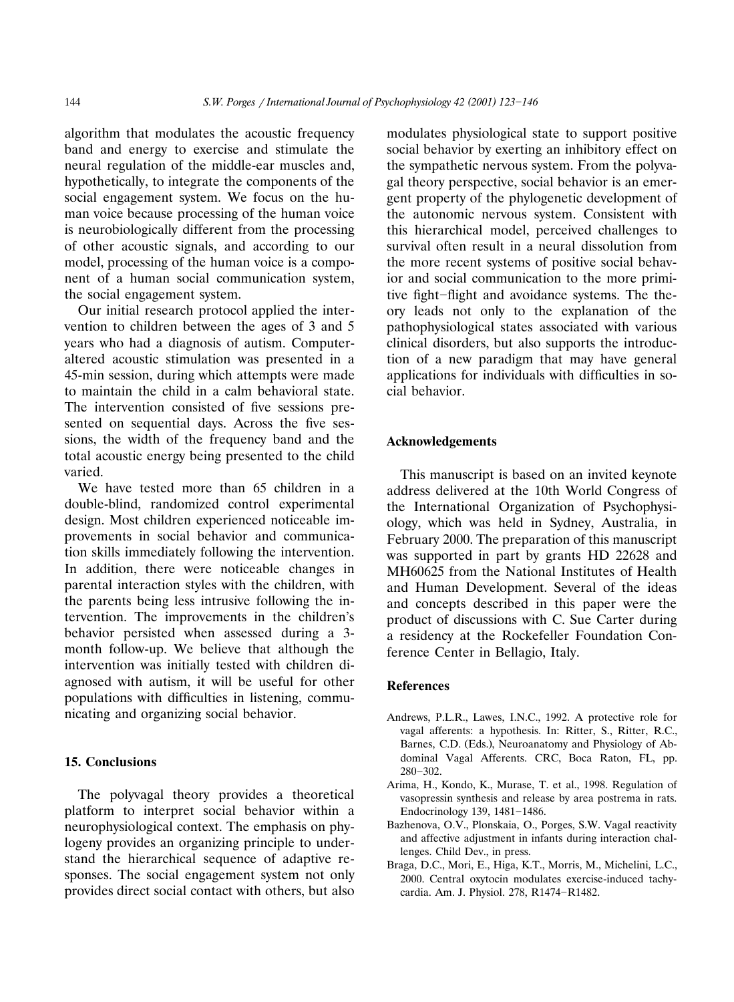algorithm that modulates the acoustic frequency band and energy to exercise and stimulate the neural regulation of the middle-ear muscles and, hypothetically, to integrate the components of the social engagement system. We focus on the human voice because processing of the human voice is neurobiologically different from the processing of other acoustic signals, and according to our model, processing of the human voice is a component of a human social communication system, the social engagement system.

Our initial research protocol applied the intervention to children between the ages of 3 and 5 years who had a diagnosis of autism. Computeraltered acoustic stimulation was presented in a 45-min session, during which attempts were made to maintain the child in a calm behavioral state. The intervention consisted of five sessions presented on sequential days. Across the five sessions, the width of the frequency band and the total acoustic energy being presented to the child varied.

We have tested more than 65 children in a double-blind, randomized control experimental design. Most children experienced noticeable improvements in social behavior and communication skills immediately following the intervention. In addition, there were noticeable changes in parental interaction styles with the children, with the parents being less intrusive following the intervention. The improvements in the children's behavior persisted when assessed during a 3 month follow-up. We believe that although the intervention was initially tested with children diagnosed with autism, it will be useful for other populations with difficulties in listening, communicating and organizing social behavior.

#### **15. Conclusions**

The polyvagal theory provides a theoretical platform to interpret social behavior within a neurophysiological context. The emphasis on phylogeny provides an organizing principle to understand the hierarchical sequence of adaptive responses. The social engagement system not only provides direct social contact with others, but also

modulates physiological state to support positive social behavior by exerting an inhibitory effect on the sympathetic nervous system. From the polyvagal theory perspective, social behavior is an emergent property of the phylogenetic development of the autonomic nervous system. Consistent with this hierarchical model, perceived challenges to survival often result in a neural dissolution from the more recent systems of positive social behavior and social communication to the more primitive fight-flight and avoidance systems. The theory leads not only to the explanation of the pathophysiological states associated with various clinical disorders, but also supports the introduction of a new paradigm that may have general applications for individuals with difficulties in social behavior.

#### **Acknowledgements**

This manuscript is based on an invited keynote address delivered at the 10th World Congress of the International Organization of Psychophysiology, which was held in Sydney, Australia, in February 2000. The preparation of this manuscript was supported in part by grants HD 22628 and MH60625 from the National Institutes of Health and Human Development. Several of the ideas and concepts described in this paper were the product of discussions with C. Sue Carter during a residency at the Rockefeller Foundation Conference Center in Bellagio, Italy.

#### **References**

- Andrews, P.L.R., Lawes, I.N.C., 1992. A protective role for vagal afferents: a hypothesis. In: Ritter, S., Ritter, R.C., Barnes, C.D. (Eds.), Neuroanatomy and Physiology of Abdominal Vagal Afferents. CRC, Boca Raton, FL, pp.  $280 - 302$ .
- Arima, H., Kondo, K., Murase, T. et al., 1998. Regulation of vasopressin synthesis and release by area postrema in rats. Endocrinology 139, 1481-1486.
- Bazhenova, O.V., Plonskaia, O., Porges, S.W. Vagal reactivity and affective adjustment in infants during interaction challenges. Child Dev., in press.
- Braga, D.C., Mori, E., Higa, K.T., Morris, M., Michelini, L.C., 2000. Central oxytocin modulates exercise-induced tachycardia. Am. J. Physiol. 278, R1474-R1482.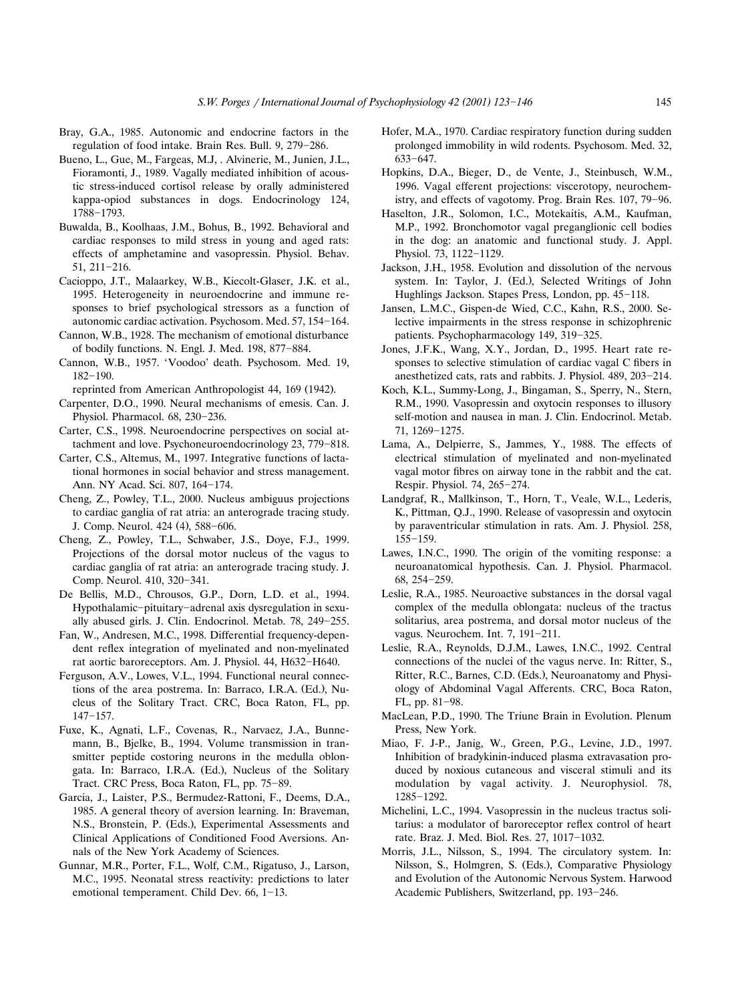- Bray, G.A., 1985. Autonomic and endocrine factors in the regulation of food intake. Brain Res. Bull. 9, 279-286.
- Bueno, L., Gue, M., Fargeas, M.J, . Alvinerie, M., Junien, J.L., Fioramonti, J., 1989. Vagally mediated inhibition of acoustic stress-induced cortisol release by orally administered kappa-opiod substances in dogs. Endocrinology 124, 1788-1793.
- Buwalda, B., Koolhaas, J.M., Bohus, B., 1992. Behavioral and cardiac responses to mild stress in young and aged rats: effects of amphetamine and vasopressin. Physiol. Behav. 51, 211-216.
- Cacioppo, J.T., Malaarkey, W.B., Kiecolt-Glaser, J.K. et al., 1995. Heterogeneity in neuroendocrine and immune responses to brief psychological stressors as a function of autonomic cardiac activation. Psychosom. Med. 57, 154-164.
- Cannon, W.B., 1928. The mechanism of emotional disturbance of bodily functions. N. Engl. J. Med. 198, 877-884.
- Cannon, W.B., 1957. 'Voodoo' death. Psychosom. Med. 19, 182-190.

reprinted from American Anthropologist 44, 169 (1942).

- Carpenter, D.O., 1990. Neural mechanisms of emesis. Can. J. Physiol. Pharmacol. 68, 230-236.
- Carter, C.S., 1998. Neuroendocrine perspectives on social attachment and love. Psychoneuroendocrinology 23, 779-818.
- Carter, C.S., Altemus, M., 1997. Integrative functions of lactational hormones in social behavior and stress management. Ann. NY Acad. Sci. 807, 164-174.
- Cheng, Z., Powley, T.L., 2000. Nucleus ambiguus projections to cardiac ganglia of rat atria: an anterograde tracing study. J. Comp. Neurol. 424 (4), 588-606.
- Cheng, Z., Powley, T.L., Schwaber, J.S., Doye, F.J., 1999. Projections of the dorsal motor nucleus of the vagus to cardiac ganglia of rat atria: an anterograde tracing study. J. Comp. Neurol. 410, 320-341.
- De Bellis, M.D., Chrousos, G.P., Dorn, L.D. et al., 1994. Hypothalamic-pituitary-adrenal axis dysregulation in sexually abused girls. J. Clin. Endocrinol. Metab. 78, 249-255.
- Fan, W., Andresen, M.C., 1998. Differential frequency-dependent reflex integration of myelinated and non-myelinated rat aortic baroreceptors. Am. J. Physiol. 44, H632-H640.
- Ferguson, A.V., Lowes, V.L., 1994. Functional neural connections of the area postrema. In: Barraco, I.R.A. (Ed.), Nucleus of the Solitary Tract. CRC, Boca Raton, FL, pp.  $147 - 157.$
- Fuxe, K., Agnati, L.F., Covenas, R., Narvaez, J.A., Bunnemann, B., Bjelke, B., 1994. Volume transmission in transmitter peptide costoring neurons in the medulla oblongata. In: Barraco, I.R.A. (Ed.), Nucleus of the Solitary Tract. CRC Press, Boca Raton, FL, pp. 75-89.
- Garcia, J., Laister, P.S., Bermudez-Rattoni, F., Deems, D.A., 1985. A general theory of aversion learning. In: Braveman, N.S., Bronstein, P. (Eds.), Experimental Assessments and Clinical Applications of Conditioned Food Aversions. Annals of the New York Academy of Sciences.
- Gunnar, M.R., Porter, F.L., Wolf, C.M., Rigatuso, J., Larson, M.C., 1995. Neonatal stress reactivity: predictions to later emotional temperament. Child Dev.  $66$ ,  $1-13$ .
- Hofer, M.A., 1970. Cardiac respiratory function during sudden prolonged immobility in wild rodents. Psychosom. Med. 32, 633-647.
- Hopkins, D.A., Bieger, D., de Vente, J., Steinbusch, W.M., 1996. Vagal efferent projections: viscerotopy, neurochemistry, and effects of vagotomy. Prog. Brain Res. 107, 79-96.
- Haselton, J.R., Solomon, I.C., Motekaitis, A.M., Kaufman, M.P., 1992. Bronchomotor vagal preganglionic cell bodies in the dog: an anatomic and functional study. J. Appl. Physiol. 73, 1122-1129.
- Jackson, J.H., 1958. Evolution and dissolution of the nervous system. In: Taylor, J. (Ed.), Selected Writings of John Hughlings Jackson. Stapes Press, London, pp. 45-118.
- Jansen, L.M.C., Gispen-de Wied, C.C., Kahn, R.S., 2000. Selective impairments in the stress response in schizophrenic patients. Psychopharmacology 149, 319-325.
- Jones, J.F.K., Wang, X.Y., Jordan, D., 1995. Heart rate responses to selective stimulation of cardiac vagal C fibers in anesthetized cats, rats and rabbits. J. Physiol. 489, 203-214.
- Koch, K.L., Summy-Long, J., Bingaman, S., Sperry, N., Stern, R.M., 1990. Vasopressin and oxytocin responses to illusory self-motion and nausea in man. J. Clin. Endocrinol. Metab. 71, 1269-1275.
- Lama, A., Delpierre, S., Jammes, Y., 1988. The effects of electrical stimulation of myelinated and non-myelinated vagal motor fibres on airway tone in the rabbit and the cat. Respir. Physiol. 74, 265-274.
- Landgraf, R., Mallkinson, T., Horn, T., Veale, W.L., Lederis, K., Pittman, Q.J., 1990. Release of vasopressin and oxytocin by paraventricular stimulation in rats. Am. J. Physiol. 258,  $155 - 159.$
- Lawes, I.N.C., 1990. The origin of the vomiting response: a neuroanatomical hypothesis. Can. J. Physiol. Pharmacol. 68, 254-259.
- Leslie, R.A., 1985. Neuroactive substances in the dorsal vagal complex of the medulla oblongata: nucleus of the tractus solitarius, area postrema, and dorsal motor nucleus of the vagus. Neurochem. Int. 7, 191-211.
- Leslie, R.A., Reynolds, D.J.M., Lawes, I.N.C., 1992. Central connections of the nuclei of the vagus nerve. In: Ritter, S., Ritter, R.C., Barnes, C.D. (Eds.), Neuroanatomy and Physiology of Abdominal Vagal Afferents. CRC, Boca Raton, FL, pp. 81-98.
- MacLean, P.D., 1990. The Triune Brain in Evolution. Plenum Press, New York.
- Miao, F. J-P., Janig, W., Green, P.G., Levine, J.D., 1997. Inhibition of bradykinin-induced plasma extravasation produced by noxious cutaneous and visceral stimuli and its modulation by vagal activity. J. Neurophysiol. 78, 1285-1292.
- Michelini, L.C., 1994. Vasopressin in the nucleus tractus solitarius: a modulator of baroreceptor reflex control of heart rate. Braz. J. Med. Biol. Res. 27, 1017-1032.
- Morris, J.L., Nilsson, S., 1994. The circulatory system. In: Nilsson, S., Holmgren, S. (Eds.), Comparative Physiology and Evolution of the Autonomic Nervous System. Harwood Academic Publishers, Switzerland, pp. 193-246.